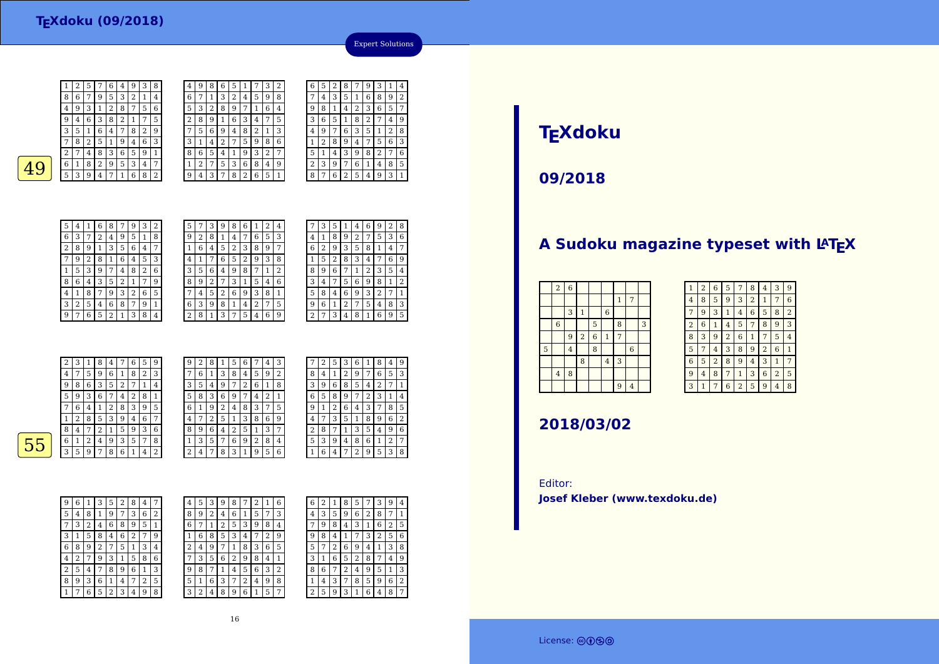| 1 | 2 | 5 | 7 | 6 | 4              | 9              | З | 8 |  |
|---|---|---|---|---|----------------|----------------|---|---|--|
| 8 | 6 | 7 | 9 | 5 | 3              | $\overline{2}$ | 1 | 4 |  |
| 4 | 9 | 3 | 1 | 2 | 8              | 7              | 5 | 6 |  |
| 9 | 4 | 6 | 3 | 8 | $\overline{2}$ | 1              | 7 | 5 |  |
| 3 | 5 | 1 | 6 | 4 | 7              | 8              | 2 | 9 |  |
| 7 | 8 | 2 | 5 | 1 | 9              | 4              | 6 | 3 |  |
| 2 | 7 | 4 | 8 | 3 | 6              | 5              | 9 | 1 |  |
| 6 | 1 | 8 | 2 | 9 | 5              | 3              | 4 | 7 |  |
| 5 | 3 | 9 | 4 | 7 | 1              | 6              | 8 | 2 |  |
|   |   |   |   |   |                |                |   |   |  |
|   |   |   |   |   |                |                |   |   |  |
|   |   |   |   |   |                |                |   |   |  |

| 4              | 9 | 8 | 6 | 5 |   |   | З | 2 | 6              | 5      |   | 8      |   | g | 3              | 1 | 4 |
|----------------|---|---|---|---|---|---|---|---|----------------|--------|---|--------|---|---|----------------|---|---|
| 6              | 7 | 1 | 3 | 2 | 4 | 5 | 9 | 8 | 7              | 4      | 3 | 5      | 1 | 6 | 8              | 9 | 2 |
| 5              | 3 | 2 | 8 | 9 | 7 | 1 | 6 | 4 | 9              | 8      | 1 | 4      | 2 | 3 | 6              | 5 | 7 |
| 2              | 8 | 9 |   | 6 | 3 | 4 | 7 | 5 | 3              | 6      | 5 |        | 8 | 2 |                | 4 | 9 |
| 7              | 5 | 6 | 9 | 4 | 8 | 2 | 1 | 3 | 4              | 9      | 7 | 6      | 3 | 5 | 1              | 2 | 8 |
| 3              | 1 | 4 | 2 | 7 | 5 | 9 | 8 | 6 | ┸              | ∍<br>∠ | 8 | 9      | 4 | 7 | 5              | 6 | 3 |
| 8              | 6 | 5 | 4 |   | 9 | 3 | 2 | 7 | 5              |        | 4 | 3      | 9 | 8 | $\overline{2}$ | 7 | 6 |
| $\overline{1}$ | 2 | 7 | 5 | 3 | 6 | 8 | 4 | 9 | $\overline{2}$ | 3      | 9 | 7      | 6 | 1 | 4              | 8 | 5 |
| 9              | 4 | 3 | 7 | 8 | 2 | 6 | 5 | 1 | 8              | ⇁      | 6 | ∍<br>∠ | 5 | 4 | 9              | 3 | 1 |
|                |   |   |   |   |   |   |   |   |                |        |   |        |   |   |                |   |   |

| 5              | 4 |   | b | 8 |   |   | 3 | 2 |   |   | 3 |
|----------------|---|---|---|---|---|---|---|---|---|---|---|
| 6              | 3 | 7 | 2 | 4 | 9 | 5 | 1 | 8 | g | 2 | 8 |
| $\overline{2}$ | 8 | 9 | 1 | 3 | 5 | 6 | 4 | 7 | 1 | 6 | 4 |
| 7              | 9 | 2 | 8 | 1 | 6 | 4 | 5 | 3 | 4 | 1 | 7 |
| 1              | 5 | 3 | 9 | 7 | 4 | 8 | 2 | 6 | 3 | 5 | 6 |
| 8              | 6 | 4 | 3 | 5 | 2 | 1 | 7 | 9 | 8 | 9 | 2 |
| 4              | 1 | 8 | 7 | 9 | 3 | 2 | 6 | 5 |   | 4 | 5 |
| 3              | 2 | 5 | 4 | 6 | 8 |   | 9 | 1 | 6 | 3 | g |
| 9              | 7 | 6 | 5 | 2 |   | 3 | 8 | 4 |   | 8 | 1 |
|                |   |   |   |   |   |   |   |   |   |   |   |

| 5              |   |   | 9 | 8 | 6 |   | 2 | 4 |   | 3 |
|----------------|---|---|---|---|---|---|---|---|---|---|
| 9              | 2 | 8 |   | 4 | 7 | 6 | 5 | 3 | 4 |   |
| 1              | 6 | 4 | 5 | 2 | 3 | 8 | 9 | 7 | 6 | 2 |
| 4              |   |   | 6 | 5 | 2 |   | 3 | 8 |   | 5 |
| 3              | 5 | 6 | 4 | 9 | 8 |   | 1 | 2 | 8 | 9 |
| 8              | 9 | 2 |   | 3 | 1 | 5 | 4 | 6 | 3 | 4 |
| 7              | 4 | 5 | 2 | 6 | 9 | 3 | 8 | 1 | 5 | 8 |
| 6              | 3 | 9 | 8 | 1 | 4 | 2 | 7 | 5 | 9 | 6 |
| $\overline{2}$ | 8 | 1 | 3 | 7 | 5 |   | 6 | 9 | 2 | 7 |
|                |   |   |   |   |   |   |   |   |   |   |

|                | 3              | 5 | 1 | 4              | 6 | 9              | 2 | 8 |
|----------------|----------------|---|---|----------------|---|----------------|---|---|
| 4              | 1              | 8 | 9 | $\overline{2}$ | 7 | 5              | 3 | 6 |
| 6              | $\overline{2}$ | 9 | 3 | 5              | 8 | 1              | 4 | 7 |
| 1              | 5              | 2 | 8 | 3              | 4 | 7              | 6 | 9 |
| 8              | 9              | 6 | 7 | $\mathbf{1}$   | 2 | 3              | 5 | 4 |
| 3              | 4              | 7 | 5 | 6              | 9 | 8              | 1 | 2 |
| 5              | 8              | 4 | 6 | 9              | 3 | $\overline{2}$ | 7 | 1 |
| 9              | 6              | 1 | 2 | 7              | 5 | 4              | 8 | 3 |
| $\overline{c}$ | 7              | 3 | 4 | 8              | 1 | 6              | 9 | 5 |
|                |                |   |   |                |   |                |   |   |

Expert Solutions

|   | $\overline{2}$ | 3 |   | 8 | 4 | 7 | 6 | 5 | 9 | 9 | 2 | 8 |   | 5 | 6      | 7 | 4 | 3 |
|---|----------------|---|---|---|---|---|---|---|---|---|---|---|---|---|--------|---|---|---|
|   | 4              | 7 | 5 | 9 | 6 |   | 8 | 2 | 3 | 7 | 6 |   | 3 | 8 | 4      | 5 | 9 | 2 |
|   | 9              | 8 | 6 | 3 | 5 | ר |   |   | 4 | 3 | 5 | 4 | 9 | 7 | ר<br>∠ | 6 |   | 8 |
|   | 5              | 9 | 3 | 6 | 7 | 4 | 2 | 8 |   | 5 | 8 | 3 | 6 | 9 | 7      | 4 | 2 |   |
|   |                | 6 | 4 |   | 2 | 8 | 3 | 9 | 5 | 6 |   | 9 | 2 | 4 | 8      | 3 | 7 | 5 |
|   |                | 2 | 8 | 5 | 3 | 9 | 4 | 6 | 7 | 4 |   | 2 | 5 | 1 | 3      | 8 | 6 | 9 |
|   | 8              | 4 | 7 | ר |   | 5 | 9 | 3 | 6 | 8 | 9 | 6 | 4 | 2 | 5      |   | З | 7 |
| 5 | 6              |   | 2 | 4 | 9 | 3 | 5 | 7 | 8 |   | 3 | 5 | 7 | 6 | 9      | 2 | 8 | 4 |
|   | 3              | 5 | 9 | 7 | 8 | 6 | 1 | 4 | 2 | 2 |   | 7 | 8 | 3 | 1      | 9 | 5 | 6 |
|   |                |   |   |   |   |   |   |   |   |   |   |   |   |   |        |   |   |   |

|   | 2 | 5 | 3 | 6 | 1 | 8 | 4 | 9 |
|---|---|---|---|---|---|---|---|---|
| 8 | 4 | 1 | 2 | 9 | 7 | 6 | 5 | 3 |
| 3 | 9 | 6 | 8 | 5 | 4 | 2 | 7 | 1 |
| 6 | 5 | 8 | 9 | 7 | 2 | 3 | 1 | 4 |
| 9 | 1 | 2 | 6 | 4 | 3 | 7 | 8 | 5 |
| 4 | 7 | 3 | 5 | 1 | 8 | 9 | 6 | 2 |
| 2 | 8 |   | 1 | 3 | 5 | 4 | 9 | 6 |
| 5 | 3 | 9 | 4 | 8 | 6 | 1 | 2 | 7 |
|   | 6 | 4 |   | 2 | 9 | 5 | 3 | 8 |

55

| 9 | 6 | 1 | 3              | 5 | 2 | 8 | 4 | 7 |  |
|---|---|---|----------------|---|---|---|---|---|--|
| 5 | 4 | 8 | 1              | 9 | 7 | 3 | 6 | 2 |  |
| 7 | 3 | 2 | 4              | 6 | 8 | 9 | 5 | 1 |  |
| 3 | 1 | 5 | 8              | 4 | 6 | 2 | 7 | 9 |  |
| 6 | 8 | 9 | $\overline{2}$ | 7 | 5 | 1 | 3 | 4 |  |
| 4 | 2 | 7 | 9              | 3 | 1 | 5 | 8 | 6 |  |
| 2 | 5 | 4 | 7              | 8 | 9 | 6 | 1 | 3 |  |
| 8 | 9 | 3 | 6              | 1 | 4 | 7 | 2 | 5 |  |
|   |   | 6 | 5              | 2 | 3 | 4 | 9 | 8 |  |

| 4 | 5 | 3 | 9 | 8 |   | 4 |   | 6 | 6 |   |   | 8 | 5 |   | З | 9 | 4 |
|---|---|---|---|---|---|---|---|---|---|---|---|---|---|---|---|---|---|
| 8 | 9 | 2 | 4 | 6 | 1 | 5 | 7 | 3 | 4 | 3 | 5 | 9 | 6 | 2 | 8 | 7 | 1 |
| 6 | 7 | 1 | 2 | 5 | 3 | 9 | 8 | 4 | 7 | 9 | 8 | 4 | 3 | 1 | 6 | 2 | 5 |
| 1 | 6 | 8 | 5 | 3 | 4 |   | 2 | 9 | 9 | 8 | 4 |   | 7 | 3 | 2 | 5 | 6 |
| 2 | 4 | 9 | 7 | 1 | 8 | 3 | 6 | 5 | 5 | 7 | 2 | 6 | 9 | 4 | 1 | 3 | 8 |
| 7 | 3 | 5 | 6 | 2 | 9 | 8 | 4 | 1 | 3 |   | 6 | 5 | 2 | 8 | 7 | 4 | 9 |
| 9 | 8 | 7 | 1 | 4 | 5 | 6 | 3 | 2 | 8 | 6 |   | 2 | 4 | 9 | 5 | 1 | 3 |
| 5 | 1 | 6 | 3 | 7 | 2 | 4 | 9 | 8 |   | 4 | 3 | 7 | 8 | 5 | 9 | 6 | 2 |
| 3 | 2 | 4 | 8 | 9 | 6 |   | 5 | 7 | ∍ | 5 | 9 | 3 | 1 | 6 | 4 | 8 | 7 |
|   |   |   |   |   |   |   |   |   |   |   |   |   |   |   |   |   |   |

# **TEXdoku**

**09/2018**

## A Sudoku magazine typeset with LAT<sub>E</sub>X

|   | $\,2$          | $\boldsymbol{6}$ |                |                |                |                |                |   |
|---|----------------|------------------|----------------|----------------|----------------|----------------|----------------|---|
|   |                |                  |                |                |                | $\mathbf{1}$   | 7              |   |
|   |                | 3                | $\mathbf{1}$   |                | $\,$ 6 $\,$    |                |                |   |
|   | $\,$ 6 $\,$    |                  |                | 5              |                | 8              |                | 3 |
|   |                | 9                | $\overline{2}$ | $\overline{6}$ | $\mathbf{1}$   | $\overline{7}$ |                |   |
| 5 |                | $\overline{4}$   |                | 8              |                |                | $\overline{6}$ |   |
|   |                |                  | 8              |                | $\overline{4}$ | 3              |                |   |
|   | $\overline{4}$ | 8                |                |                |                |                |                |   |
|   |                |                  |                |                |                | 9              | $\overline{4}$ |   |

| 1              | $\overline{2}$ | 6              | 5              | 7              | 8              | 4              | 3              | 9              |
|----------------|----------------|----------------|----------------|----------------|----------------|----------------|----------------|----------------|
| 4              | 8              | 5              | 9              | 3              | $\overline{2}$ | 1              | 7              | 6              |
| 7              | 9              | 3              | 1              | 4              | 6              | 5              | 8              | $\overline{2}$ |
| $\overline{2}$ | 6              | 1              | 4              | 5              | 7              | 8              | 9              | 3              |
| 8              | 3              | 9              | $\overline{2}$ | 6              | 1              | 7              | 5              | 4              |
| 5              | 7              | $\overline{4}$ | 3              | 8              | 9              | $\overline{2}$ | 6              | 1              |
| 6              | 5              | $\overline{2}$ | 8              | 9              | 4              | 3              | 1              | 7              |
| 9              | $\overline{4}$ | 8              | 7              | $\mathbf{1}$   | 3              | 6              | $\overline{2}$ | 5              |
| 3              | $\overline{1}$ | 7              | 6              | $\overline{2}$ | 5              | 9              | 4              | 8              |

### **2018/03/02**

Editor:**Josef Kleber (www.texdoku.de)**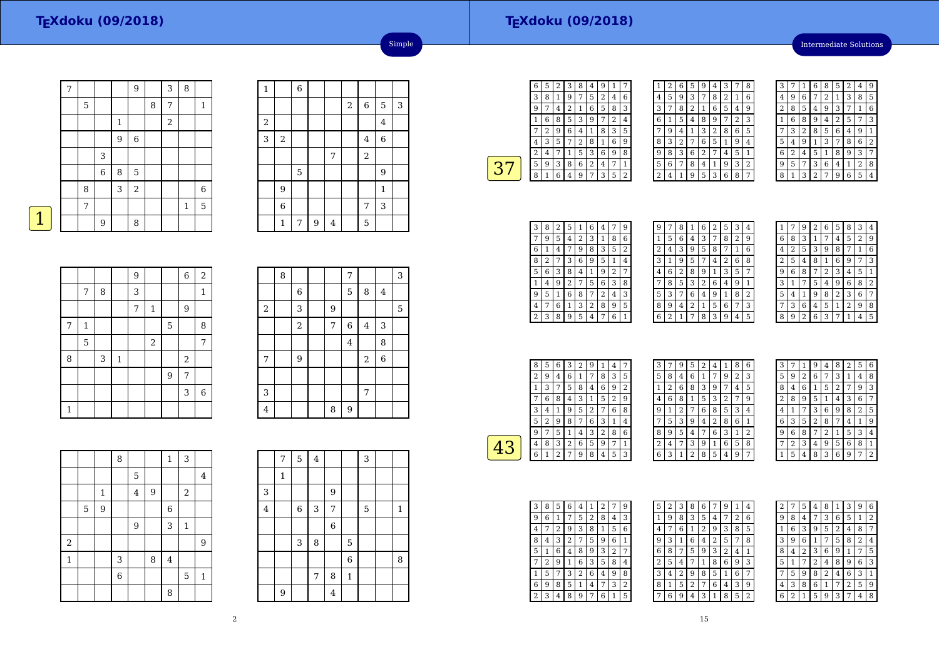#### **TEXdoku (09/2018)**

Intermediate Solutions

|   | 7 |   |                  |   | 9           |   | 3                       | 8            |              |
|---|---|---|------------------|---|-------------|---|-------------------------|--------------|--------------|
|   |   | 5 |                  |   |             | 8 | 7                       |              | $\mathbf{1}$ |
|   |   |   |                  | 1 |             |   | $\overline{\mathbf{c}}$ |              |              |
|   |   |   |                  | 9 | $\,$ 6 $\,$ |   |                         |              |              |
|   |   |   | 3                |   |             |   |                         |              |              |
|   |   |   | $\boldsymbol{6}$ | 8 | 5           |   |                         |              |              |
|   |   | 8 |                  | 3 | $\sqrt{2}$  |   |                         |              | $\,$ 6 $\,$  |
|   |   | 7 |                  |   |             |   |                         | $\mathbf{1}$ | 5            |
| 1 |   |   | 9                |   | 8           |   |                         |              |              |

| $\mathbf{1}$ |                | $\overline{6}$ |   |                |       |                |             |   |
|--------------|----------------|----------------|---|----------------|-------|----------------|-------------|---|
|              |                |                |   |                | $\,2$ | $\,$ 6 $\,$    | 5           | 3 |
| $\,2$        |                |                |   |                |       |                | $\bf 4$     |   |
| 3            | $\,2$          |                |   |                |       | $\overline{4}$ | $\,$ 6 $\,$ |   |
|              |                |                |   | 7              |       | $\overline{2}$ |             |   |
|              |                | 5              |   |                |       |                | 9           |   |
|              | 9              |                |   |                |       |                | $\,1\,$     |   |
|              | $\overline{6}$ |                |   |                |       | 7              | 3           |   |
|              | $\mathbf 1$    | 7              | 9 | $\overline{4}$ |       | 5              |             |   |

Simple

| <b>STATE OF STATE OF STATE OF STATE OF STATE OF STATE OF STATE OF STATE OF STATE OF STATE OF STATE OF STATE OF S</b> |  |
|----------------------------------------------------------------------------------------------------------------------|--|
|                                                                                                                      |  |

|              |             |   |         | 9              |             |   | $\,6\,$        | $\overline{c}$ |
|--------------|-------------|---|---------|----------------|-------------|---|----------------|----------------|
|              | 7           | 8 |         | 3              |             |   |                | $\mathbf{1}$   |
|              |             |   |         | $\overline{7}$ | $\mathbf 1$ |   | 9              |                |
| $\sqrt{ }$   | 1           |   |         |                |             | 5 |                | 8              |
|              | $\mathbf 5$ |   |         |                | $\,2$       |   |                | 7              |
| 8            |             | 3 | $\,1\,$ |                |             |   | $\overline{2}$ |                |
|              |             |   |         |                |             | 9 | 7              |                |
|              |             |   |         |                |             |   | 3              | $\,$ 6 $\,$    |
| $\mathbf{1}$ |             |   |         |                |             |   |                |                |

|                | 8 |                |   | 7              |                |                | 3 |
|----------------|---|----------------|---|----------------|----------------|----------------|---|
|                |   | $\,$ 6 $\,$    |   | 5              | 8              | $\overline{4}$ |   |
| $\overline{a}$ |   | 3              | 9 |                |                |                | 5 |
|                |   | $\overline{a}$ | 7 | $\,$ 6 $\,$    | $\overline{4}$ | 3              |   |
|                |   |                |   | $\overline{4}$ |                | 8              |   |
| $\overline{7}$ |   | 9              |   |                | $\,2$          | 6              |   |
|                |   |                |   |                |                |                |   |
| 3              |   |                |   |                | 7              |                |   |
| 4              |   |                | 8 | 9              |                |                |   |

|             |   |             | 8              |                |   | $\mathbf 1$ | 3            |                |
|-------------|---|-------------|----------------|----------------|---|-------------|--------------|----------------|
|             |   |             |                | 5              |   |             |              | $\overline{4}$ |
|             |   | $\mathbf 1$ |                | $\overline{4}$ | 9 |             | $\,2$        |                |
|             | 5 | 9           |                |                |   | $\,6\,$     |              |                |
|             |   |             |                | 9              |   | 3           | $\mathbf{1}$ |                |
| $\,2$       |   |             |                |                |   |             |              | 9              |
| $\mathbf 1$ |   |             | 3              |                | 8 | $\bf 4$     |              |                |
|             |   |             | $\overline{6}$ |                |   |             | 5            | $\mathbf{1}$   |
|             |   |             |                |                |   | 8           |              |                |

|                | 7 | 5 <sup>1</sup> | $\overline{4}$ |   |                | 3              |              |
|----------------|---|----------------|----------------|---|----------------|----------------|--------------|
|                | 1 |                |                |   |                |                |              |
| 3              |   |                |                | 9 |                |                |              |
| $\overline{4}$ |   | $\,$ 6 $\,$    | 3              | 7 |                | $\overline{5}$ | $\mathbf{1}$ |
|                |   |                |                | 6 |                |                |              |
|                |   | 3              | 8              |   | 5              |                |              |
|                |   |                |                |   | $\overline{6}$ |                | 8            |
|                |   |                | 7              | 8 | $\mathbf{1}$   |                |              |
|                | 9 |                |                | 4 |                |                |              |

| 6 | 5 | 2 | 3 | 8 | 4 | 9 |   |   |  |
|---|---|---|---|---|---|---|---|---|--|
| 3 | 8 |   | 9 | 7 | 5 | 2 | 4 | 6 |  |
| 9 | 7 | 4 | 2 | 1 | 6 | 5 | 8 | 3 |  |
|   | 6 | 8 | 5 | 3 | 9 |   | 2 | 4 |  |
|   | 2 | 9 | 6 | 4 | 1 | 8 | 3 | 5 |  |
| 4 | 3 | 5 | 7 | 2 | 8 | 1 | 6 | 9 |  |
| 2 | 4 |   |   | 5 | 3 | 6 | 9 | 8 |  |
| 5 | 9 | 3 | 8 | 6 | 2 | 4 | 7 | 1 |  |
| 8 |   | 6 | 4 | 9 | 7 | 3 | 5 | 2 |  |
|   |   |   |   |   |   |   |   |   |  |

| 1 | 2 | 6              | 5              | 9 | 4 | 3              |   | 8 |
|---|---|----------------|----------------|---|---|----------------|---|---|
| 4 | 5 | 9              | 3              | 7 | 8 | $\overline{2}$ | 1 | 6 |
| 3 | 7 | 8              | $\overline{c}$ | 1 | 6 | 5              | 4 | 9 |
| 6 | 1 | 5              | 4              | 8 | 9 |                | 2 | 3 |
|   | 9 | 4              | 1              | 3 | 2 | 8              | 6 | 5 |
| 8 | 3 | $\overline{c}$ |                | 6 | 5 | 1              | 9 | 4 |
| 9 | 8 | 3              | 6              | 2 | 7 | 4              | 5 | 1 |
| 5 | 6 | 7              | 8              | 4 | 1 | 9              | 3 | 2 |
| 2 | 4 | 1              | 9              | 5 | 3 | 6              | 8 | 7 |

| 3 |   | 1 | 6              | 8 | 5            | 2 | 4              | 9 |
|---|---|---|----------------|---|--------------|---|----------------|---|
| 4 | 9 | 6 | 7              | 2 | 1            | 3 | 8              | 5 |
| 2 | 8 | 5 | 4              | 9 | 3            | 7 | 1              | 6 |
| 1 | 6 | 8 | 9              | 4 | 2            | 5 | 7              | 3 |
| 7 | 3 | 2 | 8              | 5 | 6            | 4 | 9              | 1 |
| 5 | 4 | 9 | 1              | 3 | 7            | 8 | 6              | 2 |
| 6 | 2 | 4 | 5              | 1 | 8            | 9 | 3              | 7 |
| 9 | 5 | 7 | 3              | 6 | 4            | 1 | $\overline{2}$ | 8 |
| 8 | 1 | 3 | $\overline{2}$ | 7 | $\mathbf{Q}$ | 6 | 5              | 4 |

| З                       | 8 | 2 | 5 | 1 | 6 | 4 | 7 | 9 |  |
|-------------------------|---|---|---|---|---|---|---|---|--|
| 7                       | 9 | 5 | 4 | 2 | 3 | 1 | 8 | 6 |  |
| 6                       | 1 | 4 |   | 9 | 8 | 3 | 5 | 2 |  |
| 8                       | 2 | 7 | 3 | 6 | 9 | 5 | 1 | 4 |  |
| 5                       | 6 | 3 | 8 | 4 | 1 | 9 | 2 | 7 |  |
| 1                       | 4 | 9 | 2 | 7 | 5 | 6 | 3 | 8 |  |
| 9                       | 5 | 1 | 6 | 8 | 7 | 2 | 4 | 3 |  |
| 4                       | 7 | 6 | 1 | 3 | 2 | 8 | 9 | 5 |  |
| $\overline{\mathbf{c}}$ | 3 | 8 | 9 | 5 | 4 | 7 | 6 | 1 |  |

| 9 | 7 | 8 | 1 | 6 | 2 | 5              | З | 4              |
|---|---|---|---|---|---|----------------|---|----------------|
| 1 | 5 | 6 | 4 | 3 | 7 | 8              | 2 | 9              |
| 2 | 4 | 3 | 9 | 5 | 8 | 7              | 1 | 6              |
| 3 | 1 | 9 | 5 | 7 | 4 | $\overline{2}$ | 6 | 8              |
| 4 | 6 | 2 | 8 | 9 | 1 | 3              | 5 | 7              |
|   | 8 | 5 | 3 | 2 | 6 | 4              | 9 | 1              |
| 5 | 3 | 7 | 6 | 4 | 9 | 1              | 8 | $\overline{2}$ |
| 8 | 9 | 4 | 2 | 1 | 5 | 6              | 7 | 3              |
| 6 | 2 | 1 | 7 | 8 | 3 | 9              | 4 | 5              |
|   |   |   |   |   |   |                |   |                |

|   |   | g | 2 | 6              | 5 | 8 | 3              | 4 |
|---|---|---|---|----------------|---|---|----------------|---|
| 6 | 8 | 3 | 1 | 7              | 4 | 5 | $\overline{2}$ | 9 |
| 4 | 2 | 5 | 3 | 9              | 8 | 7 | 1              | 6 |
| 2 | 5 | 4 | 8 | 1              | 6 | 9 | 7              | 3 |
| 9 | 6 | 8 | 7 | $\overline{2}$ | 3 | 4 | 5              | 1 |
| 3 | 1 | 7 | 5 | 4              | 9 | 6 | 8              | 2 |
| 5 | 4 | 1 | 9 | 8              | 2 | 3 | 6              | 7 |
|   | 3 | 6 | 4 | 5              | 1 | 2 | 9              | 8 |
| 8 | 9 | 2 | 6 | 3              | 7 | 1 | 4              | 5 |

| 8 | 5 | 6              | 3 | $\overline{2}$ | 9 |   | 4 |                         |  |
|---|---|----------------|---|----------------|---|---|---|-------------------------|--|
| 2 | 9 | 4              | 6 | 1              | 7 | 8 | 3 | 5                       |  |
|   | 3 | 7              | 5 | 8              | 4 | 6 | 9 | $\overline{\mathbf{c}}$ |  |
|   | 6 | 8              | 4 | 3              | 1 | 5 | 2 | 9                       |  |
| 3 | 4 | 1              | 9 | 5              | 2 | 7 | 6 | 8                       |  |
| 5 | 2 | 9              | 8 | 7              | 6 | 3 | 1 | 4                       |  |
|   |   | 5              | 1 | 4              | 3 | 2 | 8 | 6                       |  |
| 4 | 8 | 3              | 2 | 6              | 5 | 9 | 7 | 1                       |  |
|   | 1 | $\overline{2}$ | 7 | 9              | 8 | 4 | 5 | 3                       |  |
|   |   |                |   |                |   |   |   |                         |  |

| 3 | 7 | 9 | 5              | 2 | 4 | 1 | 8 | 6 |  |
|---|---|---|----------------|---|---|---|---|---|--|
| 5 | 8 | 4 | 6              | 1 | 7 | 9 | 2 | 3 |  |
| 1 | 2 | 6 | 8              | 3 | 9 |   | 4 | 5 |  |
| 4 | 6 | 8 | 1              | 5 | 3 | 2 | 7 | 9 |  |
| 9 | 1 | 2 | 7              | 6 | 8 | 5 | 3 | 4 |  |
|   | 5 | 3 | 9              | 4 | 2 | 8 | 6 | 1 |  |
| 8 | 9 | 5 | 4              | 7 | 6 | 3 | 1 | 2 |  |
| 2 | 4 | 7 | 3              | 9 | 1 | 6 | 5 | 8 |  |
| 6 | 3 | 1 | $\overline{2}$ | 8 | 5 | 4 | 9 | 7 |  |

| 3              |                         | 1              | 9            | 4 | 8 | $\overline{a}$ | 5              | 6 |
|----------------|-------------------------|----------------|--------------|---|---|----------------|----------------|---|
| 5              | 9                       | $\overline{2}$ | 6            | 7 | 3 | 1              | 4              | 8 |
| 8              | $\overline{\mathbf{4}}$ | 6              | $\mathbf{1}$ | 5 | 2 | 7              | 9              | 3 |
| $\overline{c}$ | 8                       | 9              | 5            | 1 | 4 | 3              | 6              | 7 |
| 4              | 1                       | 7              | 3            | 6 | 9 | 8              | $\overline{2}$ | 5 |
| 6              | 3                       | 5              | 2            | 8 | 7 | 4              | 1              | 9 |
| 9              | 6                       | 8              |              | 2 | 1 | 5              | 3              | 4 |
| 7              | 2                       | 3              | 4            | 9 | 5 | 6              | 8              | 1 |
| 1              | 5                       | 4              | 8            | 3 | 6 | 9              | 7              | 2 |

|   | 8 | 5 | 6            | 4 |   | 2 |   | 9              |  |
|---|---|---|--------------|---|---|---|---|----------------|--|
| 9 | 6 | 1 | 7            | 5 | 2 | 8 | 4 | 3              |  |
| 4 |   | 2 | 9            | 3 | 8 | 1 | 5 | 6              |  |
| 8 | 4 | 3 | 2            | 7 | 5 | 9 | 6 | 1              |  |
| 5 | 1 | 6 | 4            | 8 | 9 | 3 | 2 | 7              |  |
|   | 2 | 9 | $\mathbf{1}$ | 6 | 3 | 5 | 8 | 4              |  |
|   | 5 |   | 3            | 2 | 6 | 4 | 9 | 8              |  |
| 6 | 9 | 8 | 5            | 1 | 4 | 7 | 3 | $\overline{2}$ |  |
|   | 3 | 4 | 8            | 9 | 7 | 6 | 1 | 5              |  |
|   |   |   |              |   |   |   |   |                |  |

| 5 | 2 | 3 | 8              | 6 | 7 | 9              | 1              | 4 |
|---|---|---|----------------|---|---|----------------|----------------|---|
| 1 | 9 | 8 | 3              | 5 | 4 | 7              | $\overline{2}$ | 6 |
| 4 | 7 | 6 | 1              | 2 | 9 | 3              | 8              | 5 |
| 9 | 3 | 1 | 6              | 4 | 2 | 5              | 7              | 8 |
| 6 | 8 | 7 | 5              | 9 | 3 | $\overline{2}$ | 4              | 1 |
| 2 | 5 | 4 | 7              | 1 | 8 | 6              | 9              | 3 |
| 3 | 4 | 2 | 9              | 8 | 5 | 1              | 6              | 7 |
| 8 | 1 | 5 | $\overline{2}$ | 7 | 6 | 4              | 3              | 9 |
|   | 6 | 9 | 4              | 3 | 1 | 8              | 5              | 2 |

| 9<br>8<br>3<br>2<br>5<br>4<br>1<br>3<br>6<br>8<br>9<br>5<br>1<br>4<br>7<br>3<br>8<br>6<br>9<br>5<br>2<br>1<br>4<br>$\overline{2}$<br>6<br>5<br>8<br>3<br>$\mathbf{1}$<br>9<br>7<br>2<br>3<br>6<br>9<br>8<br>1<br>7<br>4 |  |  |  |  |   |
|-------------------------------------------------------------------------------------------------------------------------------------------------------------------------------------------------------------------------|--|--|--|--|---|
|                                                                                                                                                                                                                         |  |  |  |  | 6 |
|                                                                                                                                                                                                                         |  |  |  |  | 2 |
|                                                                                                                                                                                                                         |  |  |  |  | 7 |
|                                                                                                                                                                                                                         |  |  |  |  | 4 |
|                                                                                                                                                                                                                         |  |  |  |  | 5 |
| 6<br>$\overline{c}$<br>8<br>5<br>9<br>4<br>7<br>1                                                                                                                                                                       |  |  |  |  | 3 |
| 3<br>8<br>6<br>9<br>2<br>5<br>4<br>7                                                                                                                                                                                    |  |  |  |  | 1 |
| 6<br>2<br>5<br>3<br>8<br>1<br>7<br>4                                                                                                                                                                                    |  |  |  |  | 9 |
| 5<br>9<br>3<br>6<br>2<br>1<br>7<br>4                                                                                                                                                                                    |  |  |  |  | 8 |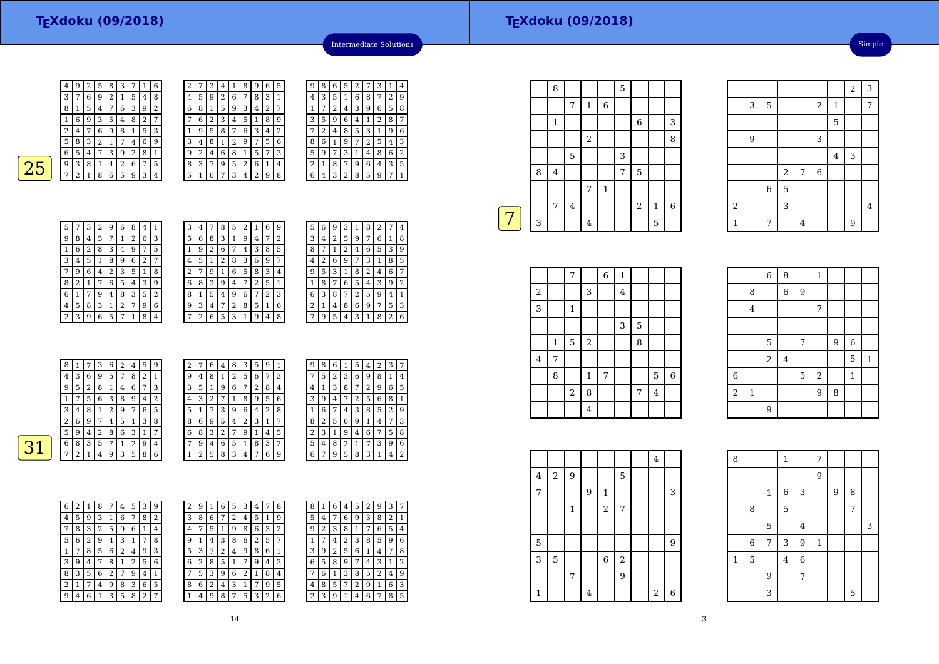| 4 | 9 | 2 | 5 | 8 | 3 |   | 1 | 6 | 2 | 7              |
|---|---|---|---|---|---|---|---|---|---|----------------|
| 3 | 7 | 6 | 9 | 2 | 1 | 5 | 4 | 8 | 4 | 5              |
| 8 | 1 | 5 | 4 | 7 | 6 | 3 | 9 | 2 | 6 | 8              |
|   | 6 | 9 | 3 | 5 | 4 | 8 | 2 | 7 |   | 6              |
| 2 | 4 | 7 | 6 | 9 | 8 | 1 | 5 | 3 | 1 | 9              |
| 5 | 8 | 3 | 2 | 1 | 7 | 4 | 6 | 9 | 3 | 4              |
| 6 | 5 | 4 | 7 | 3 | 9 | 2 | 8 | 1 | 9 | $\overline{2}$ |
| 9 | 3 | 8 | 1 | 4 | 2 | 6 | 7 | 5 | 8 | 3              |
| ¬ | 2 | 1 | 8 | 6 | 5 | 9 | 3 | 4 | 5 | 1              |
|   |   |   |   |   |   |   |   |   |   |                |

| 2 |   | 3 | 4              | 1 | 8 | 9              | 6 | 5 | 9 | 8 |  |
|---|---|---|----------------|---|---|----------------|---|---|---|---|--|
| 4 | 5 | 9 | $\overline{2}$ | 6 | 7 | 8              | 3 | 1 | 4 | 3 |  |
| 6 | 8 | 1 | 5              | 9 | 3 | 4              | 2 | 7 | 1 | 7 |  |
| 7 | 6 | 2 | 3              | 4 | 5 | 1              | 8 | 9 | 3 | 5 |  |
| 1 | 9 | 5 | 8              | 7 | 6 | 3              | 4 | 2 |   | 2 |  |
| 3 | 4 | 8 | 1              | 2 | 9 | 7              | 5 | 6 | 8 | 6 |  |
| 9 | 2 | 4 | 6              | 8 | 1 | 5              | 7 | 3 | 5 | 9 |  |
| 8 | 3 | 7 | 9              | 5 | 2 | 6              | 1 | 4 | 2 | 1 |  |
| 5 | 1 | 6 | 7              | 3 | 4 | $\overline{2}$ | 9 | 8 | 6 | 4 |  |
|   |   |   |                |   |   |                |   |   |   |   |  |

| 9 | 8              | 6 | 5 | 2 | 7 | З | 1              | 4              |
|---|----------------|---|---|---|---|---|----------------|----------------|
| 4 | 3              | 5 | 1 | 6 | 8 | 7 | $\overline{2}$ | 9              |
|   | 7              | 2 | 4 | 3 | 9 | 6 | 5              | 8              |
| 3 | 5              | 9 | 6 | 4 | 1 | 2 | 8              | 7              |
|   | $\overline{c}$ | 4 | 8 | 5 | 3 | 1 | 9              | 6              |
| 8 | 6              | 1 | 9 | 7 | 2 | 5 | 4              | 3              |
| 5 | 9              | 7 | 3 | 1 | 4 | 8 | 6              | $\overline{2}$ |
| 2 | 1              | 8 | 7 | 9 | 6 | 4 | 3              | 5              |
| 6 | 4              | 3 | 2 | 8 | 5 | 9 |                | 1              |

Intermediate Solutions

| 9<br>6<br>3<br>8<br>2<br>5<br>7<br>1<br>4<br>3<br>2<br>8<br>9<br>6<br>5<br>7<br>1<br>4<br>6<br>3<br>8<br>$\overline{2}$<br>5<br>9<br>1<br>7<br>4<br>2<br>6<br>3<br>9<br>5<br>8<br>4<br>1<br>7<br>6<br>8<br>3<br>5<br>9<br>2<br>7<br>1<br>4<br>6<br>3<br>2<br>9<br>8<br>5<br>1<br>7<br>4<br>3<br>2<br>6<br>8<br>9<br>5<br>7<br>1<br>4<br>3<br>6<br>$\overline{\mathbf{c}}$<br>9<br>5<br>8<br>1<br>7<br>4 |
|---------------------------------------------------------------------------------------------------------------------------------------------------------------------------------------------------------------------------------------------------------------------------------------------------------------------------------------------------------------------------------------------------------|
|                                                                                                                                                                                                                                                                                                                                                                                                         |
|                                                                                                                                                                                                                                                                                                                                                                                                         |
|                                                                                                                                                                                                                                                                                                                                                                                                         |
|                                                                                                                                                                                                                                                                                                                                                                                                         |
|                                                                                                                                                                                                                                                                                                                                                                                                         |
|                                                                                                                                                                                                                                                                                                                                                                                                         |
|                                                                                                                                                                                                                                                                                                                                                                                                         |
|                                                                                                                                                                                                                                                                                                                                                                                                         |

| 3 | 4 | 7 | 8 | 5 | 2 | 1 | 6 | 9 |
|---|---|---|---|---|---|---|---|---|
| 5 | 6 | 8 | 3 | 1 | 9 | 4 | 7 | 2 |
| 1 | 9 | 2 | 6 |   | 4 | 3 | 8 | 5 |
| 4 | 5 | 1 | 2 | 8 | 3 | 6 | 9 | 7 |
| 2 | 7 | 9 | 1 | 6 | 5 | 8 | 3 | 4 |
| 6 | 8 | 3 | 9 | 4 | 7 | 2 | 5 | 1 |
| 8 | 1 | 5 | 4 | 9 | 6 | 7 | 2 | 3 |
| 9 | 3 | 4 | 7 | 2 | 8 | 5 | 1 | 6 |
| 7 | 2 | 6 | 5 | 3 | 1 | 9 | 4 | 8 |

| 5 | 6 | 9 | З |   |   |              |   | 4                |
|---|---|---|---|---|---|--------------|---|------------------|
| 3 | 4 | 2 | 5 | 9 | 7 | 6            | 1 | 8                |
| 8 |   | 1 | 2 | 4 | 6 | 5            | 3 | 9                |
| 4 | 2 | 6 | 9 | 7 | 3 | $\mathbf{1}$ | 8 | 5                |
| 9 | 5 | 3 | 1 | 8 | 2 | 4            | 6 | 7                |
| 1 | 8 | 7 | 6 | 5 | 4 | 3            | 9 | $\overline{2}$   |
| 6 | 3 | 8 | 7 | 2 | 5 | 9            | 4 | 1                |
| 2 | 1 | 4 | 8 | 6 | 9 | 7            | 5 | 3                |
|   | 9 | 5 | 4 | 3 | 1 | 8            | 2 | 6                |
|   |   |   |   |   |   |              |   | 8<br>2<br>1<br>7 |

 $7396$ 

 $3 1 4 2$ 

|   | 8              | 1 | 7 | 3 | 6 | 2            | 4 | 5              | 9             | 2              | 7 | 6              | 4 | 8 | 3 I | 5            | 9 |   | 9            | 8 | 6 |   | 5              | 4 | 2            | 3 | 7              |
|---|----------------|---|---|---|---|--------------|---|----------------|---------------|----------------|---|----------------|---|---|-----|--------------|---|---|--------------|---|---|---|----------------|---|--------------|---|----------------|
|   | $\overline{4}$ | 3 | 6 | 9 | 5 | $\mathbf{r}$ | 8 | 2              | -1            | 9              | 4 | 8              |   | 2 | 5   | 6            | 7 | 3 | $\mathbf{r}$ | 5 | 2 | 3 | 6              | 9 | 8            |   | 4              |
|   | 9              | 5 | 2 | 8 |   | 4            | 6 | $\overline{7}$ | 3             | 3              | 5 | 1              | 9 | 6 | 7   | 2            | 8 | 4 | 4            |   | 3 | 8 | 7              | 2 | 9            | 6 | 5              |
|   |                | 7 | 5 | 6 | 3 | 8            | 9 | 4              | $\Omega$<br>∠ | 4              | 3 | 2              | 7 |   | 8   | 9            | 5 | 6 | 3            | 9 | 4 | 7 | 2              | 5 | 6            | 8 | 1              |
|   | 3              | 4 | 8 |   | 2 | 9            | 7 | 6              | 5             | 5              |   | 7              | 3 | 9 | 6   | 4            | 2 | 8 |              | 6 | ⇁ | 4 | 3 <sup>1</sup> | 8 | 5            | 2 | 9              |
|   | ∍<br>∠         | 6 | 9 | 7 | 4 | 5            |   | 3              | 8             | 8              | 6 | 9              | 5 | 4 | 2   | 3            | 1 | 7 | 8            | 2 | 5 | 6 | 9              |   | 4            | 7 | 3              |
|   | 5              | 9 | 4 | ∍ | 8 | 6            | 3 |                | ⇁             | 6              | 8 | 3              | n | 7 | 9   |              | 4 | 5 | ∍<br>∠       | 3 |   | 9 | 4              | 6 | 7            | 5 | 8              |
| ∍ | 6              | 8 | 3 | 5 | ⇁ |              | 2 | 9              | 4             | $\overline{ }$ | 9 | $\overline{4}$ | 6 | 5 |     | 8            | 3 | 2 | 5            | 4 | 8 |   |                | 7 | 3            | 9 | 6              |
|   | $\overline{ }$ | 2 |   | 4 | 9 | 3            | 5 | 8              | 6             |                | 2 | 5              | 8 | 3 | 4   | $\mathbf{r}$ | 6 | 9 | 6            | 7 | 9 | 5 | 8              | 3 | $\mathbf{1}$ | 4 | $\overline{2}$ |
|   |                |   |   |   |   |              |   |                |               |                |   |                |   |   |     |              |   |   |              |   |   |   |                |   |              |   |                |

| 4 | 5 |   |   |   |   |   |                |              | 2 | 9 |   | 6 | 5 | 3 | 4 | 7 | 8 |
|---|---|---|---|---|---|---|----------------|--------------|---|---|---|---|---|---|---|---|---|
|   |   | 9 | 3 |   | 6 | ⇁ | 8              | 2            | 3 | 8 | 6 | ⇁ | 2 | 4 | 5 | 1 | 9 |
| 7 | 8 | 3 | 2 | 5 | 9 | 6 |                | 4            | 4 | ¬ | 5 | 1 | 9 | 8 | 6 | 3 | 2 |
| 5 | 6 | 2 | 9 | 4 | З |   | 7              | 8            | 9 |   | 4 | 3 | 8 | 6 | ∠ | 5 | 7 |
|   |   | 8 | 5 | 6 | 2 | 4 | 9              | 3            | 5 | 3 | 7 | 2 | 4 | 9 | 8 | 6 | 1 |
| 3 | 9 | 4 | 7 | 8 |   | 2 | 5              | 6            | 6 | 2 | 8 | 5 |   |   | 9 | 4 | 3 |
| 8 | 3 | 5 | 6 | 2 |   | 9 | 4              | $\mathbf{1}$ | 7 | 5 | 3 | 9 | 6 | 2 |   | 8 | 4 |
| 2 | 1 | 7 | 4 | 9 | 8 | 3 | 6              | 5            | 8 | 6 | 2 | 4 | 3 |   |   | 9 | 5 |
| 9 | 4 | 6 |   | 3 | 5 | 8 | $\overline{2}$ | 7            |   | 4 | 9 | 8 | 7 | 5 | 3 | 2 | 6 |

| 1 | 6 | 5 | 3 | 4 | 7 | 8 | 8              | 1 | 6 | 4 | 5 | 2 | 9 | 3 | 7 |
|---|---|---|---|---|---|---|----------------|---|---|---|---|---|---|---|---|
| 6 |   | 2 | 4 | 5 | 1 | 9 | 5              | 4 | 7 | 6 | 9 | 3 | 8 | 2 | 1 |
| 5 |   | 9 | 8 | 6 | 3 | 2 | 9              | 2 | 3 | 8 | 1 |   | 6 | 5 | 4 |
| 4 | 3 | 8 | 6 | 2 | 5 | 7 |                |   | 4 | 2 | 3 | 8 | 5 | 9 | 6 |
| 7 | 2 | 4 | 9 | 8 | 6 | 1 | 3              | 9 | 2 | 5 | 6 |   | 4 | 7 | 8 |
| 8 | 5 | 1 | 7 | 9 | 4 | 3 | 6              | 5 | 8 | 9 | 7 | 4 | 3 | 1 | 2 |
| 3 | 9 | 6 | 2 | 1 | 8 | 4 |                | 6 | 1 | 3 | 8 | 5 | 2 | 4 | 9 |
| 2 | 4 | 3 | 1 | 7 | 9 | 5 | 4              | 8 | 5 | 7 | 2 | 9 | 1 | 6 | 3 |
| 9 | 8 | 7 | 5 | 3 | 2 | 6 | $\overline{2}$ | 3 | 9 | 1 | 4 | 6 | 7 | 8 | 5 |
|   |   |   |   |   |   |   |                |   |   |   |   |   |   |   |   |

|   |   | 8              |         |                |              | 5 |                |              |   |
|---|---|----------------|---------|----------------|--------------|---|----------------|--------------|---|
|   |   |                | 7       | $\,1\,$        | $\,$ 6 $\,$  |   |                |              |   |
|   |   | $\mathbf 1$    |         |                |              |   | $\,6$          |              | 3 |
|   |   |                |         | $\overline{a}$ |              |   |                |              | 8 |
|   |   |                | 5       |                |              | 3 |                |              |   |
|   | 8 | $\overline{4}$ |         |                |              | 7 | 5              |              |   |
|   |   |                |         | 7              | $\mathbf{1}$ |   |                |              |   |
|   |   | 7              | $\bf 4$ |                |              |   | $\overline{2}$ | $\mathbf{1}$ | 6 |
| 7 | 3 |                |         | $\overline{4}$ |              |   |                | 5            |   |
|   |   |                |         |                |              |   |                |              |   |

|         |              | 7              |            | $\,$ 6 $\,$ | $\,1\,$        |             |                |                  |
|---------|--------------|----------------|------------|-------------|----------------|-------------|----------------|------------------|
| $\,2$   |              |                | 3          |             | $\overline{4}$ |             |                |                  |
| 3       |              | $\,1$          |            |             |                |             |                |                  |
|         |              |                |            |             | 3              | $\mathbf 5$ |                |                  |
|         | $\mathbf{1}$ | $\overline{5}$ | $\sqrt{2}$ |             |                | 8           |                |                  |
| $\bf 4$ | 7            |                |            |             |                |             |                |                  |
|         | 8            |                | 1          | 7           |                |             | 5              | $\boldsymbol{6}$ |
|         |              | $\,2$          | 8          |             |                | 7           | $\overline{4}$ |                  |
|         |              |                | 4          |             |                |             |                |                  |

|                |                | $\overline{6}$ | 8              |   | $\mathbf{1}$   |   |              |              |
|----------------|----------------|----------------|----------------|---|----------------|---|--------------|--------------|
|                | 8              |                | $\overline{6}$ | 9 |                |   |              |              |
|                | $\overline{4}$ |                |                |   | 7              |   |              |              |
|                |                |                |                |   |                |   |              |              |
|                |                | 5              |                | 7 |                | 9 | 6            |              |
|                |                | $\overline{2}$ | $\overline{4}$ |   |                |   | 5            | $\mathbf{1}$ |
| $\overline{6}$ |                |                |                | 5 | $\sqrt{2}$     |   | $\mathbf{1}$ |              |
| $\overline{a}$ | $\mathbf 1$    |                |                |   | $\overline{9}$ | 8 |              |              |
|                |                | 9              |                |   |                |   |              |              |

3

9

2

1

 $\begin{array}{|c|c|c|c|c|}\n \hline\n 3 & 5 & 2 \\
 \hline\n \end{array}$ 

 $\frac{9}{2}$  3

2

 $\frac{6}{ }$  5

<sup>7</sup> <sup>6</sup>

 $\begin{array}{|c|c|c|c|c|c|}\n\hline\n3 & 3 & 4 \\
\hline\n\end{array}$ 

 $1 \mid 7 \mid 4 \mid 9$ 

|         |                |              |   |              |            | 4              |             |
|---------|----------------|--------------|---|--------------|------------|----------------|-------------|
| $\bf 4$ | $\overline{2}$ | 9            |   |              | 5          |                |             |
| 7       |                |              | 9 | $\mathbf{1}$ |            |                | 3           |
|         |                | $\mathbf{1}$ |   | $\sqrt{2}$   | 7          |                |             |
|         |                |              |   |              |            |                |             |
| 5       |                |              |   |              |            |                | 9           |
| 3       | 5              |              |   | $\,$ 6       | $\sqrt{2}$ |                |             |
|         |                | 7            |   |              | 9          |                |             |
| 1       |                |              | 4 |              |            | $\overline{2}$ | $\,$ 6 $\,$ |

| 8           |   |             | $\mathbf 1$    |                | 7            |   |   |   |
|-------------|---|-------------|----------------|----------------|--------------|---|---|---|
|             |   |             |                |                | 9            |   |   |   |
|             |   | $\mathbf 1$ | 6              | 3              |              | 9 | 8 |   |
|             | 8 |             | 5              |                |              |   | 7 |   |
|             |   | 5           |                | $\overline{4}$ |              |   |   | 3 |
|             | 6 | 7           | 3              | 9              | $\mathbf{1}$ |   |   |   |
| $\mathbf 1$ | 5 |             | $\overline{4}$ | $\overline{6}$ |              |   |   |   |
|             |   | 9           |                | 7              |              |   |   |   |
|             |   | 3           |                |                |              |   | 5 |   |

 $\frac{2}{3}$ 

 $\begin{array}{|c|c|c|c|c|}\n\hline\n2 & 1 & 7 \\
\hline\n\end{array}$ 5

 $\frac{4}{3}$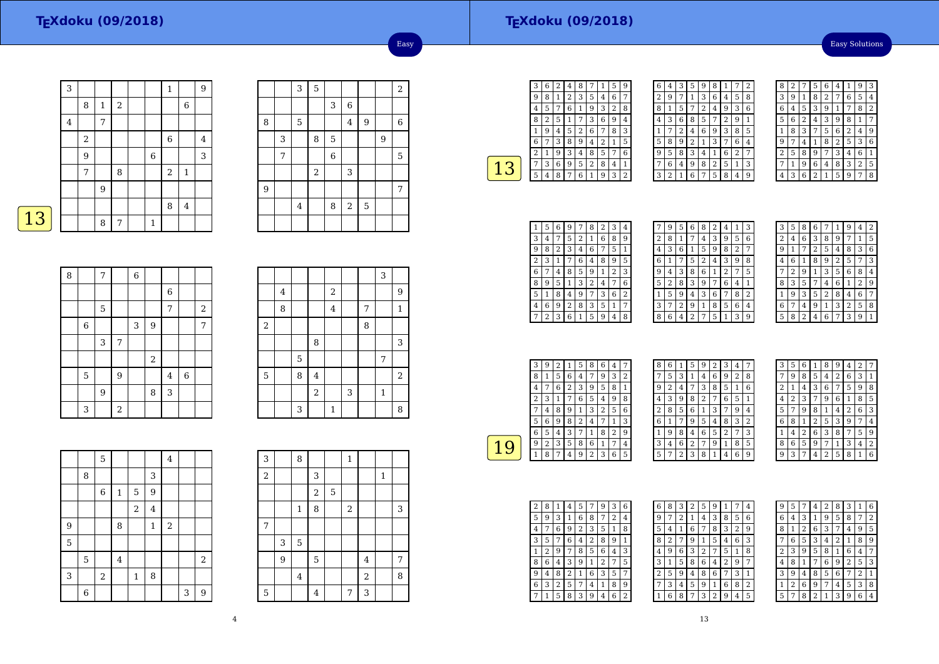#### **TEXdoku (09/2018)**

Easy Solutions

|   | 3 |                |   |   |              | $\mathbf 1$ |                | 9 |
|---|---|----------------|---|---|--------------|-------------|----------------|---|
|   |   | 8              | 1 | 2 |              |             | 6              |   |
|   | 4 |                | 7 |   |              |             |                |   |
|   |   | $\overline{2}$ |   |   |              | $\,$ 6 $\,$ |                | 4 |
|   |   | 9              |   |   | $\,6\,$      |             |                | 3 |
|   |   | 7              |   | 8 |              | $\,2$       | $\mathbf{1}$   |   |
|   |   |                | 9 |   |              |             |                |   |
|   |   |                |   |   |              | 8           | $\overline{4}$ |   |
| 3 |   |                | 8 | 7 | $\mathbf{1}$ |             |                |   |

|   |   | 3              | $\overline{5}$ |   |                |                |   | $\sqrt{2}$ |
|---|---|----------------|----------------|---|----------------|----------------|---|------------|
|   |   |                |                | 3 | 6              |                |   |            |
| 8 |   | 5              |                |   | $\overline{4}$ | $\overline{9}$ |   | $\,$ 6     |
|   | 3 |                | 8              | 5 |                |                | 9 |            |
|   | 7 |                |                | 6 |                |                |   | 5          |
|   |   |                | $\sqrt{2}$     |   | 3              |                |   |            |
| 9 |   |                |                |   |                |                |   | 7          |
|   |   | $\overline{4}$ |                | 8 | $\,2$          | $\overline{5}$ |   |            |
|   |   |                |                |   |                |                |   |            |

Easy

| <b>Contract Contract Contract Contract Contract Contract Contract Contract Contract Contract Contract Contract Co</b> |
|-----------------------------------------------------------------------------------------------------------------------|
|-----------------------------------------------------------------------------------------------------------------------|

| 8 |             | 7 |       | $\overline{6}$ |                  |                  |                |       |
|---|-------------|---|-------|----------------|------------------|------------------|----------------|-------|
|   |             |   |       |                |                  | $\boldsymbol{6}$ |                |       |
|   |             | 5 |       |                |                  | 7                |                | $\,2$ |
|   | $\,$ 6 $\,$ |   |       | 3              | $\boldsymbol{9}$ |                  |                | 7     |
|   |             | 3 | 7     |                |                  |                  |                |       |
|   |             |   |       |                | $\,2$            |                  |                |       |
|   | 5           |   | 9     |                |                  | 4                | $\overline{6}$ |       |
|   |             | 9 |       |                | 8                | 3                |                |       |
|   | 3           |   | $\,2$ |                |                  |                  |                |       |

|            |                |   |                |                  |   |   | 3              |              |
|------------|----------------|---|----------------|------------------|---|---|----------------|--------------|
|            | $\overline{4}$ |   |                | $\boldsymbol{2}$ |   |   |                | 9            |
|            | 8              |   |                | $\overline{4}$   |   | 7 |                | $\mathbf{1}$ |
| $\sqrt{2}$ |                |   |                |                  |   | 8 |                |              |
|            |                |   | 8              |                  |   |   |                | 3            |
|            |                | 5 |                |                  |   |   | $\overline{7}$ |              |
| 5          |                | 8 | $\overline{4}$ |                  |   |   |                | $\,2$        |
|            |                |   | $\overline{a}$ |                  | 3 |   | $\mathbf{1}$   |              |
|            |                | 3 |                | $\mathbf{1}$     |   |   |                | 8            |

|   |   | 5     |                |              |         | $\overline{4}$ |   |       |
|---|---|-------|----------------|--------------|---------|----------------|---|-------|
|   | 8 |       |                |              | 3       |                |   |       |
|   |   | $\,6$ | $\mathbf 1$    | 5            | 9       |                |   |       |
|   |   |       |                | $\sqrt{2}$   | $\bf 4$ |                |   |       |
| 9 |   |       | 8              |              | $\,1\,$ | $\sqrt{2}$     |   |       |
| 5 |   |       |                |              |         |                |   |       |
|   | 5 |       | $\overline{4}$ |              |         |                |   | $\,2$ |
| 3 |   | $\,2$ |                | $\mathbf{1}$ | 8       |                |   |       |
|   | 6 |       |                |              |         |                | 3 | 9     |

| 3                |   | 8              |                         |   | $\mathbf{1}$     |                |              |                |
|------------------|---|----------------|-------------------------|---|------------------|----------------|--------------|----------------|
| $\boldsymbol{2}$ |   |                | 3                       |   |                  |                | $\mathbf{1}$ |                |
|                  |   |                | $\overline{\mathbf{c}}$ | 5 |                  |                |              |                |
|                  |   | $\,1\,$        | 8                       |   | $\boldsymbol{2}$ |                |              | 3              |
| 7                |   |                |                         |   |                  |                |              |                |
|                  | 3 | 5              |                         |   |                  |                |              |                |
|                  | 9 |                | 5                       |   |                  | 4              |              | $\overline{7}$ |
|                  |   | $\overline{4}$ |                         |   |                  | $\overline{a}$ |              | 8              |
| $\mathbf 5$      |   |                | 4                       |   | 7                | 3              |              |                |

| З | 6 | $\overline{2}$ | 4 | 8 |   |   | 5 | g              |
|---|---|----------------|---|---|---|---|---|----------------|
| g | 8 | 1              | 2 | 3 | 5 | 4 | 6 | 7              |
| 4 | 5 | 7              | 6 | 1 | 9 | 3 | 2 | 8              |
| 8 | 2 | 5              | 1 | 7 | 3 | 6 | 9 | 4              |
| 1 | 9 | 4              | 5 | 2 | 6 | 7 | 8 | 3              |
| 6 | 7 | 3              | 8 | 9 | 4 | 2 | 1 | 5              |
| 2 | 1 | 9              | 3 | 4 | 8 | 5 | 7 | 6              |
|   | 3 | 6              | 9 | 5 | 2 | 8 | 4 | $\overline{1}$ |
| 5 | 4 | 8              | 7 | 6 | 1 | 9 | 3 | 2              |
|   |   |                |   |   |   |   |   |                |

| 6 | 4              | 3 | 5 | 9 | 8              | 1 |   | 2 |
|---|----------------|---|---|---|----------------|---|---|---|
| 2 | 9              | 7 | 1 | 3 | 6              | 4 | 5 | 8 |
| 8 | 1              | 5 |   | 2 | 4              | 9 | 3 | 6 |
| 4 | 3              | 6 | 8 | 5 | 7              | 2 | 9 | 1 |
| 1 | 7              | 2 | 4 | 6 | 9              | 3 | 8 | 5 |
| 5 | 8              | 9 | 2 | 1 | 3              | 7 | 6 | 4 |
| 9 | 5              | 8 | 3 | 4 | 1              | 6 | 2 |   |
| 7 | 6              | 4 | 9 | 8 | $\overline{2}$ | 5 | 1 | 3 |
| 3 | $\overline{2}$ | 1 | 6 | 7 | 5              | 8 | 4 | 9 |

| 8              | 2 |   | 5              | 6 | 4 |   | 9              | 3              |
|----------------|---|---|----------------|---|---|---|----------------|----------------|
| 3              | 9 | 1 | 8              | 2 |   | 6 | 5              | 4              |
| 6              | 4 | 5 | 3              | 9 | 1 |   | 8              | $\overline{2}$ |
| 5              | 6 | 2 | 4              | 3 | 9 | 8 | 1              |                |
| 1              | 8 | 3 |                | 5 | 6 | 2 | 4              | 9              |
| 9              |   | 4 |                | 8 | 2 | 5 | 3              | 6              |
| $\overline{c}$ | 5 | 8 | 9              | 7 | З | 4 | 6              | 1              |
|                | 1 | 9 | 6              | 4 | 8 | 3 | $\overline{2}$ | 5              |
|                | 3 | 6 | $\overline{2}$ | 1 | 5 | 9 |                | 8              |

| 1              | 5 | 6 | 9 | 7 | 8 | 2 | З | 4              |
|----------------|---|---|---|---|---|---|---|----------------|
| 3              | 4 | 7 | 5 | 2 | 1 | 6 | 8 | 9              |
| 9              | 8 | 2 | 3 | 4 | 6 | 7 | 5 | 1              |
| $\overline{c}$ | 3 | 1 |   | 6 | 4 | 8 | 9 | 5              |
| 6              |   | 4 | 8 | 5 | 9 | 1 | 2 | 3              |
| 8              | 9 | 5 | 1 | 3 | 2 | 4 | 7 | 6              |
| 5              | 1 | 8 | 4 | 9 | 7 | 3 | 6 | $\overline{2}$ |
| 4              | 6 | 9 | 2 | 8 | 3 | 5 | 1 | 7              |
|                | 2 | 3 | 6 | 1 | 5 | 9 | 4 | 8              |

|   | 9 | 5 | 6              | 8 | 2 | 4              | 1              | 3 |
|---|---|---|----------------|---|---|----------------|----------------|---|
| 2 | 8 | 1 | 7              | 4 | 3 | 9              | 5              | 6 |
| 4 | 3 | 6 | 1              | 5 | 9 | 8              | $\overline{2}$ | 7 |
| 6 | 1 | 7 | 5              | 2 | 4 | 3              | 9              | 8 |
| 9 | 4 | 3 | 8              | 6 | 1 | $\overline{2}$ | 7              | 5 |
| 5 | 2 | 8 | 3              | 9 | 7 | 6              | 4              | 1 |
| 1 | 5 | 9 | 4              | 3 | 6 | 7              | 8              | 2 |
| 3 | 7 | 2 | 9              | 1 | 8 | 5              | 6              | 4 |
| 8 | 6 | 4 | $\overline{2}$ | 7 | 5 | 1              | 3              | 9 |
|   |   |   |                |   |   |                |                |   |

|                | 5 | 8 | 6              |   |   | q              | 4              | 2 |
|----------------|---|---|----------------|---|---|----------------|----------------|---|
| $\overline{c}$ | 4 | 6 | 3              | 8 | 9 | 7              | 1              | 5 |
| g              | 1 | 7 | $\overline{2}$ | 5 | 4 | 8              | 3              | 6 |
| 4              | 6 | 1 | 8              | 9 | 2 | 5              | 7              | 3 |
|                | 2 | 9 | 1              | 3 | 5 | 6              | 8              | 4 |
| 8              | 3 | 5 | 7              | 4 | 6 | 1              | $\overline{2}$ | 9 |
| 1              | 9 | 3 | 5              | 2 | 8 | 4              | 6              | 7 |
| 6              | 7 | 4 | 9              | 1 | 3 | $\overline{2}$ | 5              | 8 |
| 5              | 8 | 2 | 4              | 6 |   | 3              | 9              | 1 |

| 3 | 9 | 2 | 1 | 5 | 8 | 6 | 4 |   |  |
|---|---|---|---|---|---|---|---|---|--|
| 8 | 1 | 5 | 6 | 4 | 7 | 9 | 3 | 2 |  |
| 4 | 7 | 6 | 2 | 3 | 9 | 5 | 8 | 1 |  |
| 2 | 3 |   | 7 | 6 | 5 | 4 | 9 | 8 |  |
| 7 | 4 | 8 | 9 | 1 | 3 | 2 | 5 | 6 |  |
| 5 | 6 | 9 | 8 | 2 | 4 |   | 1 | 3 |  |
| 6 | 5 | 4 | 3 | 7 | 1 | 8 | 2 | 9 |  |
| 9 | 2 | 3 | 5 | 8 | 6 | 1 | 7 | 4 |  |
|   | 8 | 7 | 4 | 9 | 2 | 3 | 6 | 5 |  |

| 8 | 6 | $\mathbf{1}$ | 5 | 9 | 2 | 3              | 4 | 7 |  |
|---|---|--------------|---|---|---|----------------|---|---|--|
|   | 5 | 3            | 1 | 4 | 6 | 9              | 2 | 8 |  |
| 9 | 2 | 4            |   | 3 | 8 | 5              | 1 | 6 |  |
| 4 | 3 | 9            | 8 | 2 | 7 | 6              | 5 | 1 |  |
| 2 | 8 | 5            | 6 | 1 | 3 | 7              | 9 | 4 |  |
| 6 | 1 | 7            | 9 | 5 | 4 | 8              | 3 | 2 |  |
| 1 | 9 | 8            | 4 | 6 | 5 | $\overline{2}$ | 7 | 3 |  |
| 3 | 4 | 6            | 2 | 7 | 9 | 1              | 8 | 5 |  |
| 5 | 7 | 2            | 3 | 8 | 1 | 4              | 6 | 9 |  |

| 3 | 5              | 6 | 1 | 8              | g | 4 | $\overline{2}$ |                |
|---|----------------|---|---|----------------|---|---|----------------|----------------|
| 7 | 9              | 8 | 5 | 4              | 2 | 6 | 3              | 1              |
| 2 | 1              | 4 | 3 | 6              | 7 | 5 | 9              | 8              |
| 4 | $\overline{2}$ | 3 | 7 | 9              | 6 | 1 | 8              | 5              |
| 5 | 7              | 9 | 8 | 1              | 4 | 2 | 6              | 3              |
| 6 | 8              | 1 | 2 | 5              | 3 | 9 | 7              | 4              |
| 1 | 4              | 2 | 6 | 3              | 8 | 7 | 5              | 9              |
| 8 | 6              | 5 | 9 | 7              | 1 | 3 | 4              | $\overline{2}$ |
| g | 3              |   | 4 | $\overline{2}$ | 5 | 8 | 1              | 6              |

| 2 | 8 |   | 4              | 5              | 7 | 9 | 3 | 6 |
|---|---|---|----------------|----------------|---|---|---|---|
| 5 | 9 | 3 | 1              | 6              | 8 | 7 | 2 | 4 |
| 4 |   | 6 | 9              | $\overline{2}$ | 3 | 5 | 1 | 8 |
| 3 | 5 | 7 | 6              | 4              | 2 | 8 | g | 1 |
| 1 | 2 | 9 | 7              | 8              | 5 | 6 | 4 | 3 |
| 8 | 6 | 4 | 3              | 9              | 1 | 2 | 7 | 5 |
| 9 | 4 | 8 | $\overline{c}$ | 1              | 6 | 3 | 5 | 7 |
| 6 | 3 | 2 | 5              | 7              | 4 | 1 | 8 | 9 |
|   | 1 | 5 | 8              | 3              | 9 | 4 | 6 | 2 |

| 6 | 8 | 3 | 2 | 5              | 9 | 1 |                | 4              |
|---|---|---|---|----------------|---|---|----------------|----------------|
| 9 |   | 2 | 1 | 4              | 3 | 8 | 5              | 6              |
| 5 | 4 | 1 | 6 | 7              | 8 | 3 | $\overline{2}$ | 9              |
| 8 | 2 | 7 | 9 | 1              | 5 | 4 | 6              | 3              |
| 4 | 9 | 6 | 3 | $\overline{2}$ | 7 | 5 | 1              | 8              |
| 3 | 1 | 5 | 8 | 6              | 4 | 2 | 9              | 7              |
| 2 | 5 | 9 | 4 | 8              | 6 | 7 | 3              | 1              |
| 7 | 3 | 4 | 5 | 9              | 1 | 6 | 8              | $\overline{2}$ |
|   | 6 | 8 | 7 | 3              | 2 | 9 | 4              | 5              |

| 9              | 5 |   | 4              | $\overline{2}$ | 8              | 3              | 1 | 6 |
|----------------|---|---|----------------|----------------|----------------|----------------|---|---|
| 6              | 4 | 3 | 1              | 9              | 5              | 8              | 7 | 2 |
| 8              | 1 | 2 | 6              | 3              | 7              | 4              | 9 | 5 |
| 7              | 6 | 5 | 3              | 4              | $\overline{2}$ | 1              | 8 | 9 |
| $\overline{2}$ | 3 | 9 | 5              | 8              | 1              | 6              | 4 | 7 |
| 4              | 8 | 1 | 7              | 6              | 9              | $\overline{c}$ | 5 | 3 |
| 3              | 9 | 4 | 8              | 5              | 6              | 7              | 2 | 1 |
| 1              | 2 | 6 | 9              | 7              | 4              | 5              | 3 | 8 |
| 5              | 7 | 8 | $\overline{2}$ | 1              | 3              | 9              | 6 | 4 |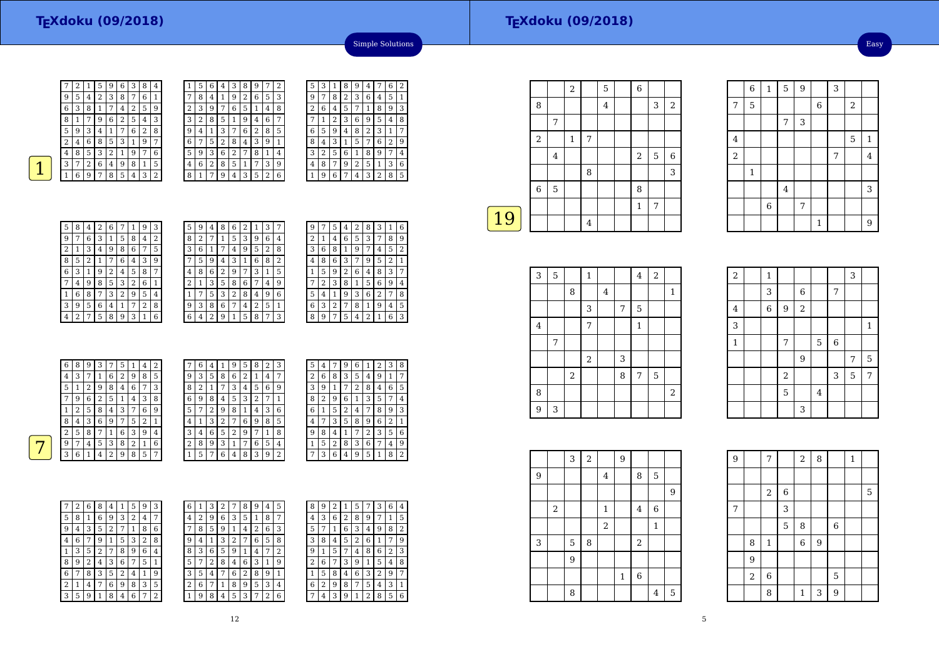|   | 2 |   | 5 | 9 | 6 | З | 8 | 4 |
|---|---|---|---|---|---|---|---|---|
| g | 5 | 4 | 2 | 3 | 8 |   | 6 | 1 |
| 6 | 3 | 8 | 1 | 7 | 4 | 2 | 5 | 9 |
| 8 | 1 |   | 9 | 6 | 2 | 5 | 4 | 3 |
| 5 | 9 | 3 | 4 | 1 | 7 | 6 | 2 | 8 |
| 2 | 4 | 6 | 8 | 5 | 3 |   | g | 7 |
| 4 | 8 | 5 | 3 | 2 | 1 | 9 | 7 | 6 |
| 3 |   | 2 | 6 | 4 | 9 | 8 | 1 | 5 |
|   | 6 | 9 | 7 | 8 | 5 | 4 | 3 | 2 |

| 1 | 5 | 6 | 4 | 3              | 8 | 9 |                | $\overline{2}$ |
|---|---|---|---|----------------|---|---|----------------|----------------|
| 7 | 8 | 4 | 1 | 9              | 2 | 6 | 5              | 3              |
| 2 | 3 | 9 | 7 | 6              | 5 | 1 | 4              | 8              |
| 3 | 2 | 8 | 5 | 1              | 9 | 4 | 6              | 7              |
| 9 | 4 | 1 | 3 | 7              | 6 | 2 | 8              | 5              |
| 6 | 7 | 5 | 2 | 8              | 4 | 3 | 9              | 1              |
| 5 | 9 | 3 | 6 | $\overline{2}$ | 7 | 8 | 1              | 4              |
| 4 | 6 | 2 | 8 | 5              | 1 | 7 | 3              | 9              |
| 8 | 1 | 7 | 9 | 4              | 3 | 5 | $\overline{2}$ | 6              |

|    | 5 | З | 1 | 8              | 9              | 4 |   | 6 | 2 |
|----|---|---|---|----------------|----------------|---|---|---|---|
|    | 9 | 7 | 8 | $\overline{2}$ | 3              | 6 | 4 | 5 | 1 |
|    | 2 | 6 | 4 | 5              | 7              | 1 | 8 | 9 | 3 |
|    |   | 1 | 2 | 3              | 6              | 9 | 5 | 4 | 8 |
|    | 6 | 5 | 9 | 4              | 8              | 2 | 3 | 1 | 7 |
|    | 8 | 4 | 3 | 1              | 5              | 7 | 6 | 2 | 9 |
| E, | 3 | 2 | 5 | 6              | 1              | 8 | 9 | 7 | 4 |
|    | 4 | 8 | 7 | 9              | $\overline{2}$ | 5 | 1 | 3 | 6 |
|    |   | 9 | 6 | 7              | 4              | 3 | 2 | 8 | 5 |
|    |   |   |   |                |                |   |   |   |   |

Simple Solutions

| 3<br>9<br>5<br>6<br>8<br>$\overline{2}$<br>1<br>4<br>7<br>$\overline{2}$<br>3<br>9<br>8<br>6<br>5<br>4<br>1<br>7<br>6<br>$\overline{c}$<br>3<br>9<br>8<br>5<br>1<br>7<br>4<br>2<br>6<br>3<br>9<br>8<br>5<br>7<br>1<br>4<br>3<br>6<br>9<br>8<br>5<br>2<br>7<br>1<br>4<br>3<br>6<br>2<br>8<br>9<br>5<br>7<br>1<br>4<br>$\overline{2}$<br>8<br>3<br>6<br>9<br>5<br>1<br>7<br>4 |
|-----------------------------------------------------------------------------------------------------------------------------------------------------------------------------------------------------------------------------------------------------------------------------------------------------------------------------------------------------------------------------|
|                                                                                                                                                                                                                                                                                                                                                                             |
|                                                                                                                                                                                                                                                                                                                                                                             |
|                                                                                                                                                                                                                                                                                                                                                                             |
|                                                                                                                                                                                                                                                                                                                                                                             |
|                                                                                                                                                                                                                                                                                                                                                                             |
|                                                                                                                                                                                                                                                                                                                                                                             |
|                                                                                                                                                                                                                                                                                                                                                                             |
| 5<br>8<br>9<br>3<br>2<br>6<br>7<br>1<br>4                                                                                                                                                                                                                                                                                                                                   |

| 5 | 9 | 4 | 8 | 6 | 2 | 1 | З |   |  |
|---|---|---|---|---|---|---|---|---|--|
| 8 | 2 | 7 | 1 | 5 | 3 | 9 | 6 | 4 |  |
| 3 | 6 | 1 | 7 | 4 | 9 | 5 | 2 | 8 |  |
|   | 5 | 9 | 4 | 3 | 1 | 6 | 8 | 2 |  |
| 4 | 8 | 6 | 2 | 9 | 7 | 3 | 1 | 5 |  |
| 2 | 1 | 3 | 5 | 8 | 6 | 7 | 4 | 9 |  |
| 1 | 7 | 5 | 3 | 2 | 8 | 4 | 9 | 6 |  |
| 9 | 3 | 8 | 6 | 7 | 4 | 2 | 5 | 1 |  |
| 6 | 4 | 2 | 9 | 1 | 5 | 8 | 7 | 3 |  |

| 9<br>2<br>8<br>З<br>5<br>4               | 6 |
|------------------------------------------|---|
| 6<br>3<br>5<br>8<br>2<br>1<br>7<br>4     | 9 |
| 6<br>9<br>8<br>5<br>3<br>1<br>7<br>4     | 2 |
| 2<br>8<br>3<br>6<br>9<br>5<br>4          | 1 |
| 6<br>3<br>5<br>2<br>8<br>9<br>1<br>4     | 7 |
| 3<br>8<br>6<br>9<br>5<br>2<br>1          | 4 |
| 3<br>$\,2$<br>9<br>6<br>5<br>4<br>1<br>7 | 8 |
| 3<br>8<br>2<br>9<br>6<br>1<br>4<br>7     | 5 |
| 6<br>9<br>5<br>2<br>8<br>4<br>1          | 3 |

|   | 6 | 8 | 9 | 3 | 7 | 5 |   | 4 | 2              | $\overline{ }$ | 6              | 4 |                | 9              | 5 | 8 | 2              | 3              | 5              | 4 | 7 | 9 | 6 |                | 2 | 3 | 8            |
|---|---|---|---|---|---|---|---|---|----------------|----------------|----------------|---|----------------|----------------|---|---|----------------|----------------|----------------|---|---|---|---|----------------|---|---|--------------|
|   | 4 | 3 | 7 |   | 6 | ∍ | 9 | 8 | 5              | 9              | 3              | 5 | 8              | 6              | 2 |   | $\overline{4}$ | 7              | 2              | 6 | 8 | 3 | 5 | $\overline{4}$ | 9 |   | 7            |
|   | 5 |   | 2 | 9 | 8 | 4 | 6 | ⇁ | 3              | 8              | 2              |   | $\overline{ }$ | 3              | 4 | 5 | 6              | 9              | 3              | 9 |   | 7 | 2 | 8              | 4 | 6 | 5            |
|   | 7 | 9 | 6 | 2 | 5 |   | 4 | 3 | 8              | 6              | 9              | 8 | 4              | 5              | 3 | ∍ | ⇁              |                | 8              | 2 | 9 | 6 | 1 | 3              | 5 | 7 | $^{\circ}$ 4 |
|   |   | 2 | 5 | 8 | 4 | 3 |   | 6 | 9              | 5              | 7              | 2 | 9              | 8              |   | 4 | 3              | 6              | 6              |   | 5 | 2 | 4 | 7              | 8 | 9 | 3            |
|   | 8 | 4 | 3 | 6 | 9 | ⇁ | 5 | 2 | 1              | 4              | 1              | 3 | 2              | 7              | 6 | 9 | 8              | 5              | 4              | 7 | 3 | 5 | 8 | 9              | 6 | 2 |              |
|   | 2 | 5 | 8 | ⇁ |   | 6 | 3 | 9 | 4              | 3              | $\overline{4}$ | 6 | 5.             | 2              | 9 | ⇁ |                | 8              | 9              | 8 | 4 |   | 7 | 2              | 3 | 5 | 6            |
| - | 9 | 7 | 4 | 5 | 3 | 8 |   |   | 6              | $\Omega$<br>∠  | 8              | 9 | 3              |                | 7 | 6 | 5              | $\overline{4}$ |                | 5 | 2 | 8 | 3 | 6              | 7 | 4 | 9            |
|   | 3 | 6 |   | 4 | 2 | 9 | 8 | 5 | $\overline{7}$ |                | 5              | ⇁ | 6              | $\overline{4}$ | 8 | З | 9              | $\Omega$       | $\overline{7}$ | 3 | 6 | 4 | 9 | 5              | 1 | 8 | 2            |
|   |   |   |   |   |   |   |   |   |                |                |                |   |                |                |   |   |                |                |                |   |   |   |   |                |   |   |              |

12

| 7 | 2 | 6 | 8 | 4 | 1 | 5 | 9              | 3 | 6 |  |
|---|---|---|---|---|---|---|----------------|---|---|--|
| 5 | 8 | 1 | 6 | 9 | 3 | 2 | 4              | 7 | 4 |  |
| 9 | 4 | 3 | 5 | 2 | 7 | 1 | 8              | 6 |   |  |
| 4 | 6 | 7 | 9 | 1 | 5 | 3 | $\overline{2}$ | 8 | 9 |  |
| 1 | 3 | 5 | 2 | 7 | 8 | 9 | 6              | 4 | 8 |  |
| 8 | 9 | 2 | 4 | 3 | 6 | 7 | 5              | 1 | 5 |  |
| 6 | 7 | 8 | 3 | 5 | 2 | 4 | 1              | 9 | 3 |  |
| 2 | 1 | 4 | 7 | 6 | 9 | 8 | 3              | 5 | 2 |  |
| 3 | 5 | 9 | 1 | 8 | 4 | 6 | 7              | 2 |   |  |

7

| 6            | 1 | 3 | 2 | 7 | 8 | 9 | 4 | 5 | 8 | 9 | ר<br>∠ |   | 5 | 7 | З | 6 | 4              |
|--------------|---|---|---|---|---|---|---|---|---|---|--------|---|---|---|---|---|----------------|
| 4            | 2 | 9 | 6 | 3 | 5 | 1 | 8 | 7 | 4 | 3 | 6      | ∍ | 8 | 9 | 7 | 1 | 5              |
| 7            | 8 | 5 | 9 | 1 | 4 | 2 | 6 | 3 | 5 |   |        | 6 | 3 | 4 | 9 | 8 | $\overline{2}$ |
| 9            | 4 | 1 | 3 | 2 | 7 | 6 | 5 | 8 | 3 | 8 | 4      | 5 | 2 | 6 |   |   | g              |
| 8            | 3 | 6 | 5 | 9 | 1 | 4 | 7 | 2 | 9 |   | 5      |   | 4 | 8 | 6 | 2 | 3              |
| 5            | 7 | 2 | 8 | 4 | 6 | 3 | 1 | 9 | 2 | 6 | 7      | 3 | 9 | 1 | 5 | 4 | 8              |
| 3            | 5 | 4 | 7 | 6 | 2 | 8 | 9 | 1 | 1 | 5 | 8      | 4 | 6 | 3 | 2 | 9 | 7              |
| 2            | 6 | 7 | 1 | 8 | 9 | 5 | 3 | 4 | 6 | 2 | 9      | 8 | 7 | 5 | 4 | 3 | 1              |
| $\mathbf{1}$ | 9 | 8 | 4 | 5 | 3 | 7 | 2 | 6 | ⇁ | 4 | 3      | 9 | 1 | 2 | 8 | 5 | 6              |
|              |   |   |   |   |   |   |   |   |   |   |        |   |   |   |   |   |                |

| 8 | 9 | 2 | 1              | 5 |   | 3 | 6              | 4 |
|---|---|---|----------------|---|---|---|----------------|---|
| 4 | 3 | 6 | $\overline{2}$ | 8 | 9 | 7 | 1              | 5 |
| 5 | 7 | 1 | 6              | 3 | 4 | 9 | 8              | 2 |
| 3 | 8 | 4 | 5              | 2 | 6 | 1 | 7              | 9 |
| 9 | 1 | 5 | 7              | 4 | 8 | 6 | $\overline{2}$ | 3 |
| 2 | 6 | 7 | 3              | 9 | 1 | 5 | 4              | 8 |
| 1 | 5 | 8 | 4              | 6 | 3 | 2 | 9              | 7 |
| 6 | 2 | 9 | 8              | 7 | 5 | 4 | 3              | 1 |
|   |   |   |                |   |   |   |                |   |

|    |                |             | 2            |                | 5              | $\,$ 6 $\,$    |   |                |
|----|----------------|-------------|--------------|----------------|----------------|----------------|---|----------------|
|    | 8              |             |              |                | $\overline{4}$ |                | 3 | $\overline{2}$ |
|    |                | 7           |              |                |                |                |   |                |
|    | $\sqrt{2}$     |             | $\mathbf{1}$ | 7              |                |                |   |                |
|    |                | $\bf 4$     |              |                |                | $\overline{2}$ | 5 | $\,$ 6 $\,$    |
|    |                |             |              | 8              |                |                |   | 3              |
|    | $\overline{6}$ | $\mathbf 5$ |              |                |                | 8              |   |                |
|    |                |             |              |                |                | $\mathbf{1}$   | 7 |                |
| 19 |                |             |              | $\overline{4}$ |                |                |   |                |

| 3       | 5 |       | $\mathbf{1}$ |         |   | $\overline{4}$ | $\overline{2}$ |              |
|---------|---|-------|--------------|---------|---|----------------|----------------|--------------|
|         |   | 8     |              | $\bf 4$ |   |                |                | $\mathbf{1}$ |
|         |   |       | 3            |         | 7 | $\mathbf 5$    |                |              |
| $\bf 4$ |   |       | 7            |         |   | $\mathbf{1}$   |                |              |
|         | 7 |       |              |         |   |                |                |              |
|         |   |       | $\sqrt{2}$   |         | 3 |                |                |              |
|         |   | $\,2$ |              |         | 8 | $\overline{7}$ | $\overline{5}$ |              |
| 8       |   |       |              |         |   |                |                | $\sqrt{2}$   |
| 9       | 3 |       |              |         |   |                |                |              |

| $\sqrt{2}$              | $\mathbf{1}$   |                  |                |                |   | 3 |              |
|-------------------------|----------------|------------------|----------------|----------------|---|---|--------------|
|                         | 3              |                  | $\,$ 6 $\,$    |                | 7 |   |              |
| $\overline{\mathbf{4}}$ | $\overline{6}$ | $\boldsymbol{9}$ | $\overline{c}$ |                |   |   |              |
| 3                       |                |                  |                |                |   |   | $\mathbf{1}$ |
| $\,1\,$                 |                | 7                |                | 5              | 6 |   |              |
|                         |                |                  | 9              |                |   | 7 | 5            |
|                         |                | $\overline{2}$   |                |                | 3 | 5 | 7            |
|                         |                | 5                |                | $\overline{4}$ |   |   |              |
|                         |                |                  | 3              |                |   |   |              |

 $\frac{6}{1}$ 

7

4

2

1

<sup>5</sup> <sup>9</sup> <sup>3</sup>

 $\begin{array}{|c|c|c|c|c|c|c|c|}\n\hline\n2 & 4 \\
\hline\n\end{array}$ 

<sup>7</sup>

 $\frac{4}{3}$  3

 $\begin{array}{c|c|c|c|c} \hline 1 & 9 \end{array}$ 

1

4

6

 $7 \mid 5 \mid$  6 2  $\frac{7}{ }$  3

|                  |   | 3 | $\overline{2}$ |                | $\overline{9}$ |                  |             |                |  |
|------------------|---|---|----------------|----------------|----------------|------------------|-------------|----------------|--|
| $\boldsymbol{9}$ |   |   |                | $\overline{4}$ |                | 8                | $\mathbf 5$ |                |  |
|                  |   |   |                |                |                |                  |             | $\overline{9}$ |  |
|                  | 2 |   |                | 1              |                | 4                | 6           |                |  |
|                  |   |   |                | $\sqrt{2}$     |                |                  | 1           |                |  |
| 3                |   | 5 | 8              |                |                | $\boldsymbol{2}$ |             |                |  |
|                  |   | 9 |                |                |                |                  |             |                |  |
|                  |   |   |                |                | $\mathbf 1$    | $\overline{6}$   |             |                |  |
|                  |   | 8 |                |                |                |                  | 4           | $\overline{5}$ |  |

| $\overline{9}$ |       | 7              |             | $\,2$        | 8              |                | $\mathbf{1}$ |   |
|----------------|-------|----------------|-------------|--------------|----------------|----------------|--------------|---|
|                |       |                |             |              |                |                |              |   |
|                |       | $\,2$          | $\,$ 6 $\,$ |              |                |                |              | 5 |
| $\overline{7}$ |       |                | 3           |              |                |                |              |   |
|                |       |                | 5           | 8            |                | $\,$ 6 $\,$    |              |   |
|                | 8     | $\,1\,$        |             | 6            | $\overline{9}$ |                |              |   |
|                | 9     |                |             |              |                |                |              |   |
|                | $\,2$ | $\overline{6}$ |             |              |                | 5              |              |   |
|                |       | 8              |             | $\mathbf{1}$ | 3              | $\overline{9}$ |              |   |

 $\begin{array}{|c|c|c|}\n\hline\n5 & 1 \\
7 & 4\n\end{array}$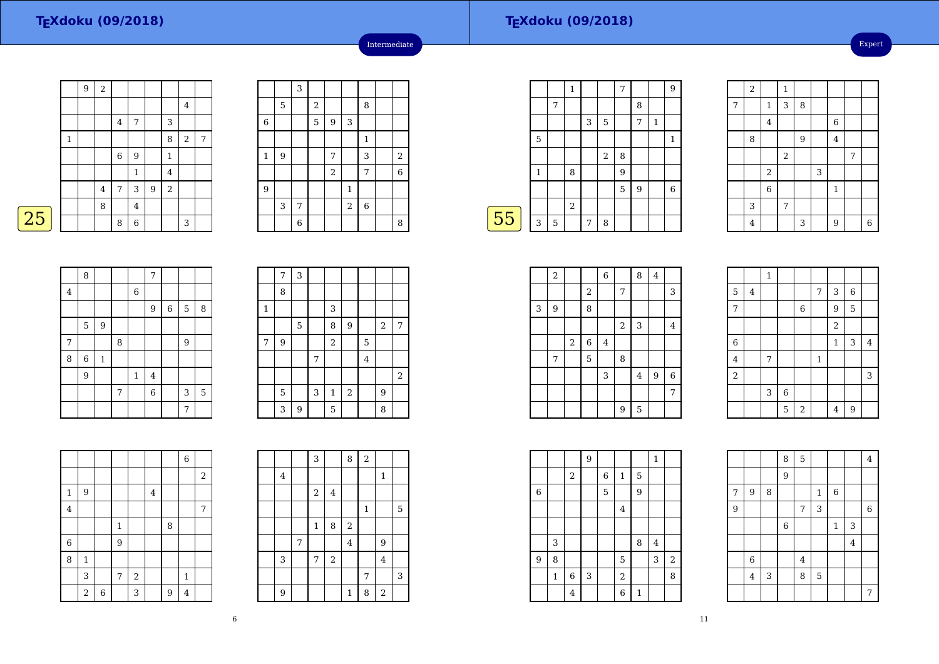|   |   | 9 | $\,2$   |             |                |                  |                |                |   |
|---|---|---|---------|-------------|----------------|------------------|----------------|----------------|---|
|   |   |   |         |             |                |                  |                | 4              |   |
|   |   |   |         | 4           | 7              |                  | 3              |                |   |
|   | 1 |   |         |             |                |                  | 8              | $\overline{2}$ | 7 |
|   |   |   |         | $\,$ 6 $\,$ | 9              |                  | $\mathbf{1}$   |                |   |
|   |   |   |         |             | $\mathbf{1}$   |                  | $\bf 4$        |                |   |
|   |   |   | $\bf 4$ | 7           | 3              | $\boldsymbol{9}$ | $\overline{2}$ |                |   |
|   |   |   | 8       |             | $\overline{4}$ |                  |                |                |   |
| 5 |   |   |         | 8           | $\,$ 6 $\,$    |                  |                | 3              |   |

|              |   | 3 |                         |       |                |                |                |
|--------------|---|---|-------------------------|-------|----------------|----------------|----------------|
|              | 5 |   | $\overline{\mathbf{c}}$ |       |                | 8              |                |
| $\,$ 6 $\,$  |   |   | 5                       | 9     | 3              |                |                |
|              |   |   |                         |       |                | $\mathbf{1}$   |                |
| $\mathbf{1}$ | 9 |   |                         | 7     |                | 3              | $\sqrt{2}$     |
|              |   |   |                         | $\,2$ |                | 7              | $\overline{6}$ |
| 9            |   |   |                         |       | $\mathbf{1}$   |                |                |
|              | 3 | 7 |                         |       | $\overline{2}$ | $\overline{6}$ |                |
|              |   | 6 |                         |       |                |                | 8              |

Intermediate

|    |              |   | $\mathbf{1}$ |   |                | 7 |   |              | 9 |
|----|--------------|---|--------------|---|----------------|---|---|--------------|---|
|    |              | 7 |              |   |                |   | 8 |              |   |
|    |              |   |              | 3 | 5              |   | 7 | $\mathbf{1}$ |   |
|    | 5            |   |              |   |                |   |   |              | 1 |
|    |              |   |              |   | $\overline{2}$ | 8 |   |              |   |
|    | $\mathbf{1}$ |   | 8            |   |                | 9 |   |              |   |
|    |              |   |              |   |                | 5 | 9 |              | 6 |
|    |              |   | $\sqrt{2}$   |   |                |   |   |              |   |
| 55 | 3            | 5 |              | 7 | 8              |   |   |              |   |
|    |              |   |              |   |                |   |   |              |   |

|   | $\overline{c}$ |                         | $\mathbf{1}$   |   |   |                  |   |                |
|---|----------------|-------------------------|----------------|---|---|------------------|---|----------------|
| 7 |                | $\mathbf{1}$            | 3              | 8 |   |                  |   |                |
|   |                | $\overline{4}$          |                |   |   | $\boldsymbol{6}$ |   |                |
|   | 8              |                         |                | 9 |   | $\overline{4}$   |   |                |
|   |                |                         | $\overline{2}$ |   |   |                  | 7 |                |
|   |                | $\overline{\mathbf{c}}$ |                |   | 3 |                  |   |                |
|   |                | $\overline{6}$          |                |   |   | $\mathbf{1}$     |   |                |
|   | 3              |                         | 7              |   |   |                  |   |                |
|   | 4              |                         |                | 3 |   | $\overline{9}$   |   | $\overline{6}$ |

| 8<br>7<br>$\,6$<br>$\bf 4$<br>$9\,$<br>$\,6\,$<br>5<br>8<br>$\overline{9}$<br>5<br>8<br>9<br>7<br>$\mathbf{1}$<br>8<br>6<br>9<br>$\overline{4}$<br>$\mathbf{1}$<br>$\,$ 6 $\,$<br>5<br>$\overline{7}$<br>3<br>7 |  |  |  |  |  |
|-----------------------------------------------------------------------------------------------------------------------------------------------------------------------------------------------------------------|--|--|--|--|--|
|                                                                                                                                                                                                                 |  |  |  |  |  |
|                                                                                                                                                                                                                 |  |  |  |  |  |
|                                                                                                                                                                                                                 |  |  |  |  |  |
|                                                                                                                                                                                                                 |  |  |  |  |  |
|                                                                                                                                                                                                                 |  |  |  |  |  |
|                                                                                                                                                                                                                 |  |  |  |  |  |
|                                                                                                                                                                                                                 |  |  |  |  |  |
|                                                                                                                                                                                                                 |  |  |  |  |  |
|                                                                                                                                                                                                                 |  |  |  |  |  |

|                | 7 | 3           |   |              |            |                |            |                |
|----------------|---|-------------|---|--------------|------------|----------------|------------|----------------|
|                | 8 |             |   |              |            |                |            |                |
| $\mathbf 1$    |   |             |   | 3            |            |                |            |                |
|                |   | $\mathbf 5$ |   | 8            | 9          |                | $\sqrt{2}$ | 7              |
| $\overline{7}$ | 9 |             |   | $\sqrt{2}$   |            | 5              |            |                |
|                |   |             | 7 |              |            | $\overline{4}$ |            |                |
|                |   |             |   |              |            |                |            | $\overline{2}$ |
|                | 5 |             | 3 | $\mathbf{1}$ | $\sqrt{2}$ |                | 9          |                |
|                | 3 | 9           |   | 5            |            |                | 8          |                |

|                         |              |             |                |       |         |   | $\overline{6}$ |       |
|-------------------------|--------------|-------------|----------------|-------|---------|---|----------------|-------|
|                         |              |             |                |       |         |   |                | $\,2$ |
| $\mathbf 1$             | 9            |             |                |       | $\bf 4$ |   |                |       |
| $\overline{\mathbf{4}}$ |              |             |                |       |         |   |                | 7     |
|                         |              |             | $\mathbf 1$    |       |         | 8 |                |       |
| $\boldsymbol{6}$        |              |             | $\overline{9}$ |       |         |   |                |       |
| 8                       | $\mathbf{1}$ |             |                |       |         |   |                |       |
|                         | 3            |             | $\overline{7}$ | $\,2$ |         |   | 1              |       |
|                         | $\sqrt{2}$   | $\,$ 6 $\,$ |                | 3     |         | 9 | 4              |       |

|  |                         |   | 3       |         | 8                       | $\overline{a}$ |              |   |
|--|-------------------------|---|---------|---------|-------------------------|----------------|--------------|---|
|  | $\overline{\mathbf{4}}$ |   |         |         |                         |                | $\mathbf{1}$ |   |
|  |                         |   | $\,2$   | $\bf 4$ |                         |                |              |   |
|  |                         |   |         |         |                         | $\,1\,$        |              | 5 |
|  |                         |   | $\,1\,$ | 8       | $\,2$                   |                |              |   |
|  |                         | 7 |         |         | $\overline{\mathbf{4}}$ |                | 9            |   |
|  | 3                       |   | 7       | $\,2$   |                         |                | $\bf 4$      |   |
|  |                         |   |         |         |                         | 7              |              | 3 |
|  | 9                       |   |         |         | $\mathbf{1}$            | 8              | $\,2$        |   |

|   | $\,2$ |                  |            | $\,$ 6 $\,$ |       | 8              | $\bf 4$ |         |  |
|---|-------|------------------|------------|-------------|-------|----------------|---------|---------|--|
|   |       |                  | $\sqrt{2}$ |             | 7     |                |         | 3       |  |
| 3 | 9     |                  | 8          |             |       |                |         |         |  |
|   |       |                  |            |             | $\,2$ | 3              |         | 4       |  |
|   |       | $\boldsymbol{2}$ | $\,6$      | 4           |       |                |         |         |  |
|   | 7     |                  | 5          |             | 8     |                |         |         |  |
|   |       |                  |            | 3           |       | $\overline{4}$ | 9       | $\,6\,$ |  |
|   |       |                  |            |             |       |                |         | 7       |  |
|   |       |                  |            |             | 9     | 5              |         |         |  |

|                         |                | $\mathbf{1}$ |             |                |                |                |                |                |
|-------------------------|----------------|--------------|-------------|----------------|----------------|----------------|----------------|----------------|
| $\mathbf 5$             | $\overline{4}$ |              |             |                | $\overline{7}$ | 3              | $\overline{6}$ |                |
| $\overline{7}$          |                |              |             | $\overline{6}$ |                | 9              | 5              |                |
|                         |                |              |             |                |                | $\overline{c}$ |                |                |
| $\boldsymbol{6}$        |                |              |             |                |                | $\mathbf 1$    | 3              | $\overline{4}$ |
| $\overline{\mathbf{4}}$ |                | 7            |             |                | $\mathbf 1$    |                |                |                |
| $\overline{2}$          |                |              |             |                |                |                |                | 3              |
|                         |                | 3            | $\,$ 6 $\,$ |                |                |                |                |                |
|                         |                |              | $\mathbf 5$ | $\sqrt{2}$     |                | $\overline{4}$ | 9              |                |

|             |             |             | $\overline{9}$ |             |                |   | $\mathbf{1}$   |                |
|-------------|-------------|-------------|----------------|-------------|----------------|---|----------------|----------------|
|             |             | 2           |                | 6           | $\mathbf{1}$   | 5 |                |                |
| $\,$ 6 $\,$ |             |             |                | $\mathbf 5$ |                | 9 |                |                |
|             |             |             |                |             | $\overline{4}$ |   |                |                |
|             |             |             |                |             |                |   |                |                |
|             | 3           |             |                |             |                | 8 | $\overline{4}$ |                |
| 9           | 8           |             |                |             | 5              |   | 3              | $\overline{2}$ |
|             | $\mathbf 1$ | $\,$ 6 $\,$ | 3              |             | $\,2$          |   |                | 8              |
|             |             | 4           |                |             | $\overline{6}$ | 1 |                |                |

|                |                |   | 8              | $\overline{5}$          |              |              |         | $\bf 4$     |
|----------------|----------------|---|----------------|-------------------------|--------------|--------------|---------|-------------|
|                |                |   | $\overline{9}$ |                         |              |              |         |             |
| 7              | 9              | 8 |                |                         | $\mathbf{1}$ | $\,$ 6 $\,$  |         |             |
| $\overline{9}$ |                |   |                | 7                       | 3            |              |         | $\,$ 6 $\,$ |
|                |                |   | $\sqrt{6}$     |                         |              | $\mathbf{1}$ | 3       |             |
|                |                |   |                |                         |              |              | $\bf 4$ |             |
|                | $\sqrt{6}$     |   |                | $\overline{\mathbf{4}}$ |              |              |         |             |
|                | $\overline{4}$ | 3 |                | 8                       | $\mathbf 5$  |              |         |             |
|                |                |   |                |                         |              |              |         | 7           |

11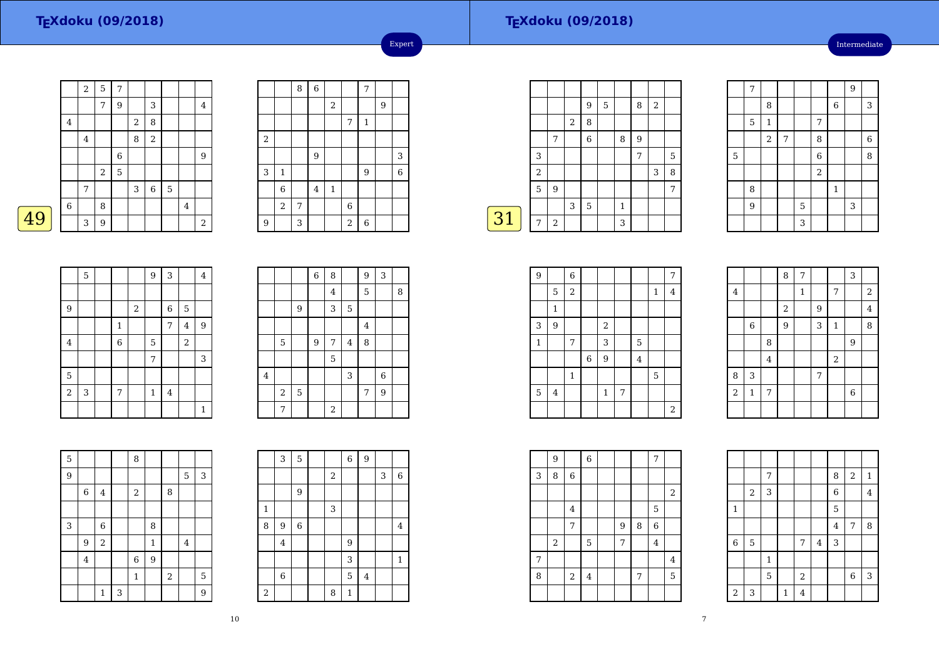#### **TEXdoku (09/2018)**

Intermediate

|   |             | $\sqrt{2}$     | 5     | 7           |   |       |   |   |                         |
|---|-------------|----------------|-------|-------------|---|-------|---|---|-------------------------|
|   |             |                | 7     | 9           |   | 3     |   |   | 4                       |
|   | $\,4\,$     |                |       |             | 2 | 8     |   |   |                         |
|   |             | $\overline{4}$ |       |             | 8 | $\,2$ |   |   |                         |
|   |             |                |       | $\,$ 6 $\,$ |   |       |   |   | 9                       |
|   |             |                | $\,2$ | 5           |   |       |   |   |                         |
|   |             | 7              |       |             | 3 | $\,6$ | 5 |   |                         |
|   | $\,$ 6 $\,$ |                | 8     |             |   |       |   | 4 |                         |
| 9 |             | 3              | 9     |             |   |       |   |   | $\overline{\mathbf{c}}$ |

|                |                | 8 | $\overline{6}$ |             |                         | 7              |   |                |
|----------------|----------------|---|----------------|-------------|-------------------------|----------------|---|----------------|
|                |                |   |                | 2           |                         |                | 9 |                |
|                |                |   |                |             | 7                       | $\mathbf 1$    |   |                |
| $\overline{c}$ |                |   |                |             |                         |                |   |                |
|                |                |   | 9              |             |                         |                |   | 3              |
| 3              | $\mathbf 1$    |   |                |             |                         | 9              |   | $\overline{6}$ |
|                | 6              |   | $\bf 4$        | $\mathbf 1$ |                         |                |   |                |
|                | $\overline{a}$ | 7 |                |             | 6                       |                |   |                |
| 9              |                | 3 |                |             | $\overline{\mathbf{c}}$ | $\overline{6}$ |   |                |

Expert

|    |                |                |   | 9 | 5 |              | 8 | 2 |   |
|----|----------------|----------------|---|---|---|--------------|---|---|---|
|    |                |                | 2 | 8 |   |              |   |   |   |
|    |                | 7              |   | 6 |   | 8            | 9 |   |   |
|    | 3              |                |   |   |   |              | 7 |   | 5 |
|    | $\overline{2}$ |                |   |   |   |              |   | 3 | 8 |
|    | 5              | 9              |   |   |   |              |   |   | 7 |
|    |                |                | 3 | 5 |   | $\mathbf{1}$ |   |   |   |
| 31 | 7              | $\overline{2}$ |   |   |   | 3            |   |   |   |
|    |                |                |   |   |   |              |   |   |   |

|             | $\overline{7}$ |                |   |   |                |                  | 9 |                |
|-------------|----------------|----------------|---|---|----------------|------------------|---|----------------|
|             |                | 8              |   |   |                | $\boldsymbol{6}$ |   | 3              |
|             | $\mathbf 5$    | $\mathbf{1}$   |   |   | 7              |                  |   |                |
|             |                | $\overline{2}$ | 7 |   | 8              |                  |   | $\overline{6}$ |
| $\mathbf 5$ |                |                |   |   | $\overline{6}$ |                  |   | 8              |
|             |                |                |   |   | $\overline{c}$ |                  |   |                |
|             | 8              |                |   |   |                | $\mathbf 1$      |   |                |
|             | 9              |                |   | 5 |                |                  | 3 |                |
|             |                |                |   | 3 |                |                  |   |                |

|   | 5 |   |                | 9 | 3           |                | 4 |
|---|---|---|----------------|---|-------------|----------------|---|
|   |   |   |                |   |             |                |   |
| 9 |   |   | $\overline{2}$ |   | $\,$ 6 $\,$ | 5              |   |
|   |   | 1 |                |   | 7           | 4              | 9 |
| 4 |   | 6 |                | 5 |             | $\overline{2}$ |   |
|   |   |   |                | 7 |             |                | 3 |
| 5 |   |   |                |   |             |                |   |

<sup>3</sup> <sup>7</sup> <sup>1</sup> <sup>4</sup>

2

49

|         |                |                  | 6 | 8       |         | 9              | 3 |   |
|---------|----------------|------------------|---|---------|---------|----------------|---|---|
|         |                |                  |   | $\bf 4$ |         | 5              |   | 8 |
|         |                | $\boldsymbol{9}$ |   | 3       | 5       |                |   |   |
|         |                |                  |   |         |         | $\overline{4}$ |   |   |
|         | 5              |                  | 9 | 7       | $\bf 4$ | 8              |   |   |
|         |                |                  |   | 5       |         |                |   |   |
| $\bf 4$ |                |                  |   |         | 3       |                | 6 |   |
|         | $\overline{2}$ | $\mathbf 5$      |   |         |         | 7              | 9 |   |
|         | 7              |                  |   | 2       |         |                |   |   |

| $\overline{5}$ |                |                         |                           | 8                |                |            |                |   |
|----------------|----------------|-------------------------|---------------------------|------------------|----------------|------------|----------------|---|
| 9              |                |                         |                           |                  |                |            | 5              | 3 |
|                | 6              | $\overline{\mathbf{4}}$ |                           | $\boldsymbol{2}$ |                | 8          |                |   |
|                |                |                         |                           |                  |                |            |                |   |
| 3              |                | 6                       |                           |                  | 8              |            |                |   |
|                | 9              | $\sqrt{2}$              |                           |                  | $\mathbf{1}$   |            | $\overline{4}$ |   |
|                | $\overline{4}$ |                         |                           | $\,$ 6 $\,$      | $\overline{9}$ |            |                |   |
|                |                |                         |                           | $\,1\,$          |                | $\sqrt{2}$ |                | 5 |
|                |                | $\mathbf{1}$            | $\ensuremath{\mathsf{3}}$ |                  |                |            |                | 9 |

|                | 3                | 5          |   | 6            | 9       |   |                |
|----------------|------------------|------------|---|--------------|---------|---|----------------|
|                |                  |            | 2 |              |         | 3 | $\,$ 6 $\,$    |
|                |                  | 9          |   |              |         |   |                |
| $\mathbf{1}$   |                  |            | 3 |              |         |   |                |
| 8              | $\boldsymbol{9}$ | $\sqrt{6}$ |   |              |         |   | $\overline{4}$ |
|                | 4                |            |   | 9            |         |   |                |
|                |                  |            |   | 3            |         |   | $\mathbf{1}$   |
|                | $\sqrt{6}$       |            |   | 5            | $\bf 4$ |   |                |
| $\overline{c}$ |                  |            | 8 | $\mathbf{1}$ |         |   |                |

| 9              |                | $\overline{6}$ |       |              |   |         |              | 7              |  |
|----------------|----------------|----------------|-------|--------------|---|---------|--------------|----------------|--|
|                | $\overline{5}$ | $\overline{2}$ |       |              |   |         | $\mathbf{1}$ | $\overline{4}$ |  |
|                | $\mathbf{1}$   |                |       |              |   |         |              |                |  |
| 3              | 9              |                |       | $\,2$        |   |         |              |                |  |
| $\mathbf 1$    |                | 7              |       | 3            |   | 5       |              |                |  |
|                |                |                | $\,6$ | 9            |   | $\bf 4$ |              |                |  |
|                |                | $\mathbf{1}$   |       |              |   |         | 5            |                |  |
| $\overline{5}$ | $\bf 4$        |                |       | $\mathbf{1}$ | 7 |         |              |                |  |
|                |                |                |       |              |   |         |              | $\sqrt{2}$     |  |

|            |         |                | 8              | 7            |            |                         | 3 |                |
|------------|---------|----------------|----------------|--------------|------------|-------------------------|---|----------------|
| $\bf 4$    |         |                |                | $\mathbf{1}$ |            | 7                       |   | $\overline{a}$ |
|            |         |                | $\overline{a}$ |              | 9          |                         |   | $\overline{4}$ |
|            | 6       |                | 9              |              | 3          | $\mathbf{1}$            |   | 8              |
|            |         | 8              |                |              |            |                         | 9 |                |
|            |         | $\overline{4}$ |                |              |            | $\overline{\mathbf{c}}$ |   |                |
| 8          | 3       |                |                |              | $\sqrt{ }$ |                         |   |                |
| $\sqrt{2}$ | $\,1\,$ | 7              |                |              |            |                         | 6 |                |
|            |         |                |                |              |            |                         |   |                |

 $2 \mid 3 \mid$   $6 \mid 4$ 

 $7 \mid 4 \mid 3$ 

 $\frac{2}{4}$ 

 $\begin{array}{|c|c|c|}\n\hline\n8 & 2 & 1 \\
\hline\n6 & & 4\n\end{array}$ 

4 <sup>7</sup> <sup>8</sup>

<sup>6</sup> <sup>3</sup>

7

 $6 \mid 5 \mid$  7

15

 $3 \mid \cdot \mid 1$ 

 $\frac{1}{5}$ 

1

2

1